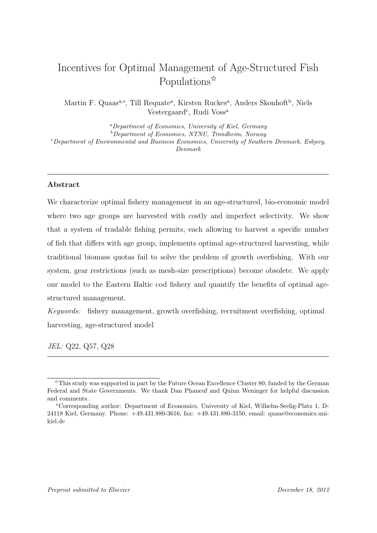# Incentives for Optimal Management of Age-Structured Fish Populations<sup> $\hat{\star}$ </sup>

Martin F. Quaas<sup>a,\*</sup>, Till Requate<sup>a</sup>, Kirsten Ruckes<sup>a</sup>, Anders Skonhoft<sup>b</sup>, Niels Vestergaard<sup>c</sup>, Rudi Voss<sup>a</sup>

<sup>a</sup>Department of Economics, University of Kiel, Germany  $b$ Department of Economics, NTNU, Trondheim, Norway  $c$ Department of Environmental and Business Economics, University of Southern Denmark, Esbjerg, Denmark

# Abstract

We characterize optimal fishery management in an age-structured, bio-economic model where two age groups are harvested with costly and imperfect selectivity. We show that a system of tradable fishing permits, each allowing to harvest a specific number of fish that differs with age group, implements optimal age-structured harvesting, while traditional biomass quotas fail to solve the problem of growth overfishing. With our system, gear restrictions (such as mesh-size prescriptions) become obsolete. We apply our model to the Eastern Baltic cod fishery and quantify the benefits of optimal agestructured management.

Keywords: fishery management, growth overfishing, recruitment overfishing, optimal harvesting, age-structured model

JEL: Q22, Q57, Q28

<sup>✩</sup>This study was supported in part by the Future Ocean Excellence Cluster 80, funded by the German Federal and State Governments. We thank Dan Phaneuf and Quinn Weninger for helpful discussion and comments.

<sup>∗</sup>Corresponding author: Department of Economics, University of Kiel, Wilhelm-Seelig-Platz 1, D-24118 Kiel, Germany. Phone: +49.431.880-3616, fax: +49.431.880-3150, email: quaas@economics.unikiel.de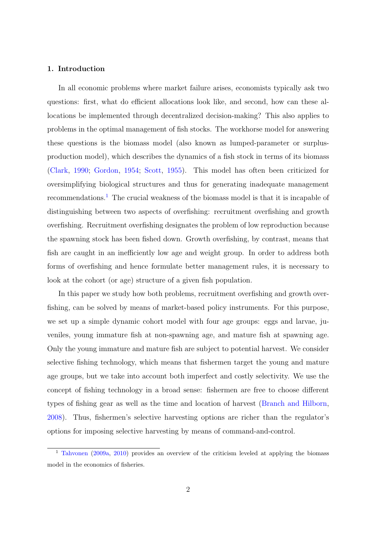# 1. Introduction

In all economic problems where market failure arises, economists typically ask two questions: first, what do efficient allocations look like, and second, how can these allocations be implemented through decentralized decision-making? This also applies to problems in the optimal management of fish stocks. The workhorse model for answering these questions is the biomass model (also known as lumped-parameter or surplusproduction model), which describes the dynamics of a fish stock in terms of its biomass [\(Clark,](#page-36-0) [1990;](#page-36-0) [Gordon,](#page-37-0) [1954;](#page-37-0) [Scott,](#page-39-0) [1955\)](#page-39-0). This model has often been criticized for oversimplifying biological structures and thus for generating inadequate management recommendations.[1](#page-1-0) The crucial weakness of the biomass model is that it is incapable of distinguishing between two aspects of overfishing: recruitment overfishing and growth overfishing. Recruitment overfishing designates the problem of low reproduction because the spawning stock has been fished down. Growth overfishing, by contrast, means that fish are caught in an inefficiently low age and weight group. In order to address both forms of overfishing and hence formulate better management rules, it is necessary to look at the cohort (or age) structure of a given fish population.

In this paper we study how both problems, recruitment overfishing and growth overfishing, can be solved by means of market-based policy instruments. For this purpose, we set up a simple dynamic cohort model with four age groups: eggs and larvae, juveniles, young immature fish at non-spawning age, and mature fish at spawning age. Only the young immature and mature fish are subject to potential harvest. We consider selective fishing technology, which means that fishermen target the young and mature age groups, but we take into account both imperfect and costly selectivity. We use the concept of fishing technology in a broad sense: fishermen are free to choose different types of fishing gear as well as the time and location of harvest [\(Branch and Hilborn,](#page-35-0) [2008\)](#page-35-0). Thus, fishermen's selective harvesting options are richer than the regulator's options for imposing selective harvesting by means of command-and-control.

<span id="page-1-0"></span><sup>&</sup>lt;sup>1</sup> [Tahvonen](#page-39-1) [\(2009a,](#page-39-1) [2010\)](#page-39-2) provides an overview of the criticism leveled at applying the biomass model in the economics of fisheries.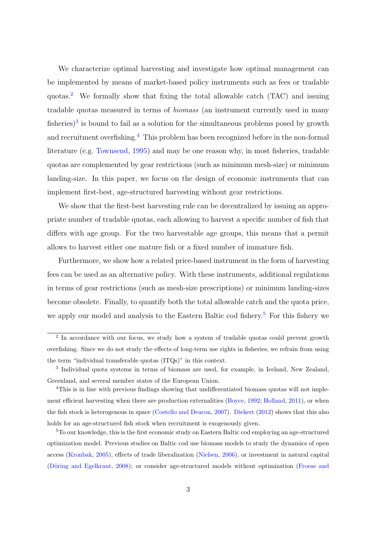We characterize optimal harvesting and investigate how optimal management can be implemented by means of market-based policy instruments such as fees or tradable quotas.[2](#page-2-0) We formally show that fixing the total allowable catch (TAC) and issuing tradable quotas measured in terms of biomass (an instrument currently used in many fisheries)<sup>[3](#page-2-1)</sup> is bound to fail as a solution for the simultaneous problems posed by growth and recruitment overfishing.<sup>[4](#page-2-2)</sup> This problem has been recognized before in the non-formal literature (e.g. [Townsend,](#page-40-0) [1995\)](#page-40-0) and may be one reason why, in most fisheries, tradable quotas are complemented by gear restrictions (such as minimum mesh-size) or minimum landing-size. In this paper, we focus on the design of economic instruments that can implement first-best, age-structured harvesting without gear restrictions.

We show that the first-best harvesting rule can be decentralized by issuing an appropriate number of tradable quotas, each allowing to harvest a specific number of fish that differs with age group. For the two harvestable age groups, this means that a permit allows to harvest either one mature fish or a fixed number of immature fish.

Furthermore, we show how a related price-based instrument in the form of harvesting fees can be used as an alternative policy. With these instruments, additional regulations in terms of gear restrictions (such as mesh-size prescriptions) or minimum landing-sizes become obsolete. Finally, to quantify both the total allowable catch and the quota price, we apply our model and analysis to the Eastern Baltic cod fishery.<sup>[5](#page-2-3)</sup> For this fishery we

<span id="page-2-0"></span><sup>&</sup>lt;sup>2</sup> In accordance with our focus, we study how a system of tradable quotas could prevent growth overfishing. Since we do not study the effects of long-term use rights in fisheries, we refrain from using the term "individual transferable quotas (ITQs)" in this context.

<span id="page-2-1"></span><sup>&</sup>lt;sup>3</sup> Individual quota systems in terms of biomass are used, for example, in Iceland, New Zealand, Greenland, and several member states of the European Union.

<span id="page-2-2"></span><sup>&</sup>lt;sup>4</sup>This is in line with previous findings showing that undifferentiated biomass quotas will not implement efficient harvesting when there are production externalities [\(Boyce,](#page-35-1) [1992;](#page-35-1) [Holland,](#page-38-0) [2011\)](#page-38-0), or when the fish stock is heterogenous in space [\(Costello and Deacon,](#page-36-1) [2007\)](#page-36-1). [Diekert](#page-36-2) [\(2012\)](#page-36-2) shows that this also holds for an age-structured fish stock when recruitment is exogenously given.

<span id="page-2-3"></span><sup>5</sup>To our knowledge, this is the first economic study on Eastern Baltic cod employing an age-structured optimization model. Previous studies on Baltic cod use biomass models to study the dynamics of open access [\(Kronbak,](#page-38-1) [2005\)](#page-38-1), effects of trade liberalization [\(Nielsen,](#page-38-2) [2006\)](#page-38-2), or investment in natural capital (Döring and Egelkraut, [2008\)](#page-37-1); or consider age-structured models without optimization [\(Froese and](#page-37-2)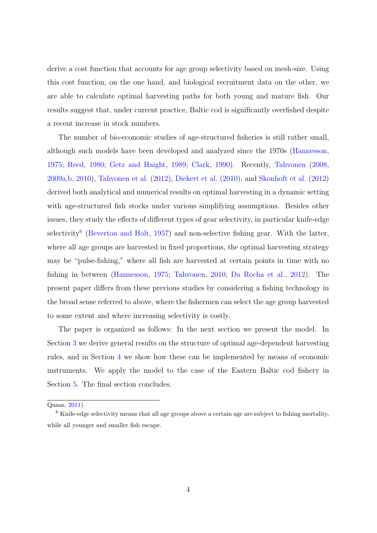[derive a cost function that accounts for age group selectivity based on mesh-size. Using](#page-37-2) [this cost function, on the one hand, and biological recruitment data on the other, we](#page-37-2) [are able to calculate optimal harvesting paths for both young and mature fish. Our](#page-37-2) [results suggest that, under current practice, Baltic cod is significantly overfished despite](#page-37-2) [a recent increase in stock numbers.](#page-37-2)

[The number of bio-economic studies of age-structured fisheries is still rather small,](#page-37-2) [although such models have been developed and analyzed since the 1970s \(Hannesson,](#page-37-2) [1975;](#page-37-3) [Reed,](#page-39-3) [1980;](#page-39-3) [Getz and Haight,](#page-37-2) [1989;](#page-37-4) [Clark,](#page-36-0) [1990\)](#page-36-0). Recently, [Tahvonen](#page-39-4) [\(2008,](#page-39-4) [2009a,](#page-39-1)[b,](#page-39-5) [2010\)](#page-39-2), [Tahvonen et al.](#page-37-2) [\(2012\)](#page-40-1), [Diekert et al.](#page-36-3) [\(2010\)](#page-36-3), and [Skonhoft et al.](#page-39-6) [\(2012\)](#page-39-6) [derived both analytical and numerical results on optimal harvesting in a dynamic setting](#page-37-2) [with age-structured fish stocks under various simplifying assumptions. Besides other](#page-37-2) [issues, they study the effects of different types of gear selectivity, in particular knife-edge](#page-37-2) selectivity<sup>[6](#page-3-0)</sup> [\(Beverton and Holt,](#page-35-2) [1957\) and non-selective fishing gear. With the latter,](#page-37-2) [where all age groups are harvested in fixed proportions, the optimal harvesting strategy](#page-37-2) [may be "pulse-fishing," where all fish are harvested at certain points in time with no](#page-37-2) [fishing in between \(Hannesson,](#page-37-2) [1975;](#page-37-3) [Tahvonen,](#page-39-2) [2010;](#page-39-2) [Da Rocha et al.,](#page-36-4) [2012\)](#page-36-4). The [present paper differs from these previous studies by considering a fishing technology in](#page-37-2) [the broad sense referred to above, where the fishermen can select the age group harvested](#page-37-2) [to some extent and where increasing selectivity is costly.](#page-37-2)

[The paper is organized as follows: In the next section we present the model. In](#page-37-2) Section [3](#page-6-0) [we derive general results on the structure of optimal age-dependent harvesting](#page-37-2) rules, and in Section [4](#page-9-0) [we show how these can be implemented by means of economic](#page-37-2) [instruments. We apply the model to the case of the Eastern Baltic cod fishery in](#page-37-2) Section [5. The final section concludes.](#page-37-2)

<span id="page-3-0"></span>[Quaas,](#page-37-2) [2011\)](#page-37-2).

<sup>6</sup> Knife-edge selectivity means that all age groups above a certain age are subject to fishing mortality, while all younger and smaller fish escape.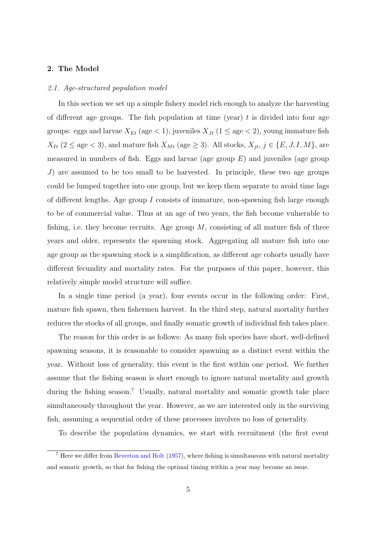# 2. The Model

# 2.1. Age-structured population model

In this section we set up a simple fishery model rich enough to analyze the harvesting of different age groups. The fish population at time (year)  $t$  is divided into four age groups: eggs and larvae  $X_{Et}$  (age < 1), juveniles  $X_{Jt}$  (1  $\leq$  age  $<$  2), young immature fish  $X_{It}$  (2 ≤ age < 3), and mature fish  $X_{Mt}$  (age ≥ 3). All stocks,  $X_{jt}$ ,  $j \in \{E, J, I, M\}$ , are measured in numbers of fish. Eggs and larvae (age group  $E$ ) and juveniles (age group J) are assumed to be too small to be harvested. In principle, these two age groups could be lumped together into one group, but we keep them separate to avoid time lags of different lengths. Age group I consists of immature, non-spawning fish large enough to be of commercial value. Thus at an age of two years, the fish become vulnerable to fishing, i.e. they become recruits. Age group  $M$ , consisting of all mature fish of three years and older, represents the spawning stock. Aggregating all mature fish into one age group as the spawning stock is a simplification, as different age cohorts usually have different fecundity and mortality rates. For the purposes of this paper, however, this relatively simple model structure will suffice.

In a single time period (a year), four events occur in the following order: First, mature fish spawn, then fishermen harvest. In the third step, natural mortality further reduces the stocks of all groups, and finally somatic growth of individual fish takes place.

The reason for this order is as follows: As many fish species have short, well-defined spawning seasons, it is reasonable to consider spawning as a distinct event within the year. Without loss of generality, this event is the first within one period. We further assume that the fishing season is short enough to ignore natural mortality and growth during the fishing season.<sup>[7](#page-4-0)</sup> Usually, natural mortality and somatic growth take place simultaneously throughout the year. However, as we are interested only in the surviving fish, assuming a sequential order of these processes involves no loss of generality.

To describe the population dynamics, we start with recruitment (the first event

<span id="page-4-0"></span><sup>7</sup> Here we differ from [Beverton and Holt](#page-35-2) [\(1957\)](#page-35-2), where fishing is simultaneous with natural mortality and somatic growth, so that for fishing the optimal timing within a year may become an issue.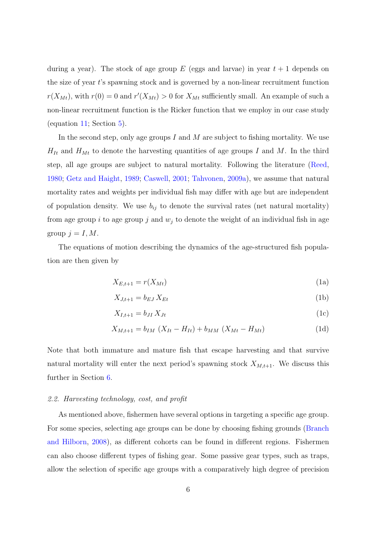during a year). The stock of age group E (eggs and larvae) in year  $t + 1$  depends on the size of year t's spawning stock and is governed by a non-linear recruitment function  $r(X_{Mt})$ , with  $r(0) = 0$  and  $r'(X_{Mt}) > 0$  for  $X_{Mt}$  sufficiently small. An example of such a non-linear recruitment function is the Ricker function that we employ in our case study (equation [11;](#page-14-0) Section [5\)](#page-13-0).

In the second step, only age groups  $I$  and  $M$  are subject to fishing mortality. We use  $H_{It}$  and  $H_{Mt}$  to denote the harvesting quantities of age groups I and M. In the third step, all age groups are subject to natural mortality. Following the literature [\(Reed,](#page-39-3) [1980;](#page-39-3) [Getz and Haight,](#page-37-4) [1989;](#page-37-4) [Caswell,](#page-36-5) [2001;](#page-36-5) [Tahvonen,](#page-39-1) [2009a\)](#page-39-1), we assume that natural mortality rates and weights per individual fish may differ with age but are independent of population density. We use  $b_{ij}$  to denote the survival rates (net natural mortality) from age group i to age group j and  $w_j$  to denote the weight of an individual fish in age group  $j = I, M$ .

The equations of motion describing the dynamics of the age-structured fish population are then given by

<span id="page-5-0"></span>
$$
X_{E,t+1} = r(X_{Mt})\tag{1a}
$$

$$
X_{J,t+1} = b_{EJ} X_{Et} \tag{1b}
$$

$$
X_{I,t+1} = b_{JI} X_{Jt} \tag{1c}
$$

$$
X_{M,t+1} = b_{IM} (X_{It} - H_{It}) + b_{MM} (X_{Mt} - H_{Mt})
$$
\n(1d)

Note that both immature and mature fish that escape harvesting and that survive natural mortality will enter the next period's spawning stock  $X_{M,t+1}$ . We discuss this further in Section [6.](#page-26-0)

# <span id="page-5-1"></span>2.2. Harvesting technology, cost, and profit

As mentioned above, fishermen have several options in targeting a specific age group. For some species, selecting age groups can be done by choosing fishing grounds [\(Branch](#page-35-0) [and Hilborn,](#page-35-0) [2008\)](#page-35-0), as different cohorts can be found in different regions. Fishermen can also choose different types of fishing gear. Some passive gear types, such as traps, allow the selection of specific age groups with a comparatively high degree of precision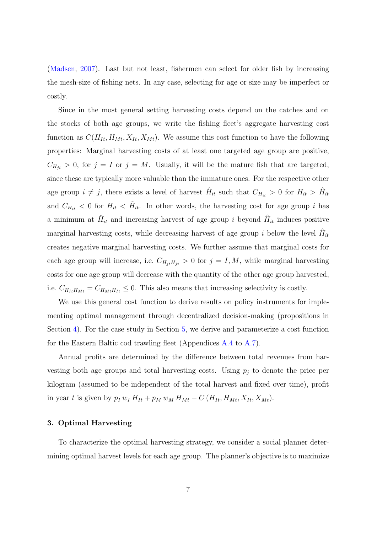[\(Madsen,](#page-38-3) [2007\)](#page-38-3). Last but not least, fishermen can select for older fish by increasing the mesh-size of fishing nets. In any case, selecting for age or size may be imperfect or costly.

Since in the most general setting harvesting costs depend on the catches and on the stocks of both age groups, we write the fishing fleet's aggregate harvesting cost function as  $C(H_{It}, H_{Mt}, X_{It}, X_{Mt})$ . We assume this cost function to have the following properties: Marginal harvesting costs of at least one targeted age group are positive,  $C_{H_{it}} > 0$ , for  $j = I$  or  $j = M$ . Usually, it will be the mature fish that are targeted, since these are typically more valuable than the immature ones. For the respective other age group  $i \neq j$ , there exists a level of harvest  $\hat{H}_{it}$  such that  $C_{H_{it}} > 0$  for  $H_{it} > \hat{H}_{it}$ and  $C_{H_{it}} < 0$  for  $H_{it} < H_{it}$ . In other words, the harvesting cost for age group i has a minimum at  $\hat{H}_{it}$  and increasing harvest of age group i beyond  $\hat{H}_{it}$  induces positive marginal harvesting costs, while decreasing harvest of age group i below the level  $\hat{H}_{it}$ creates negative marginal harvesting costs. We further assume that marginal costs for each age group will increase, i.e.  $C_{H_{jt}H_{jt}} > 0$  for  $j = I, M$ , while marginal harvesting costs for one age group will decrease with the quantity of the other age group harvested, i.e.  $C_{H_{It}H_{Mt}} = C_{H_{Mt}H_{It}} \leq 0$ . This also means that increasing selectivity is costly.

We use this general cost function to derive results on policy instruments for implementing optimal management through decentralized decision-making (propositions in Section [4\)](#page-9-0). For the case study in Section [5,](#page-13-0) we derive and parameterize a cost function for the Eastern Baltic cod trawling fleet (Appendices [A.4](#page-30-0) to [A.7\)](#page-35-3).

Annual profits are determined by the difference between total revenues from harvesting both age groups and total harvesting costs. Using  $p_j$  to denote the price per kilogram (assumed to be independent of the total harvest and fixed over time), profit in year t is given by  $p_I w_I H_{It} + p_M w_M H_{Mt} - C(H_{It}, H_{Mt}, X_{It}, X_{Mt}).$ 

# <span id="page-6-0"></span>3. Optimal Harvesting

To characterize the optimal harvesting strategy, we consider a social planner determining optimal harvest levels for each age group. The planner's objective is to maximize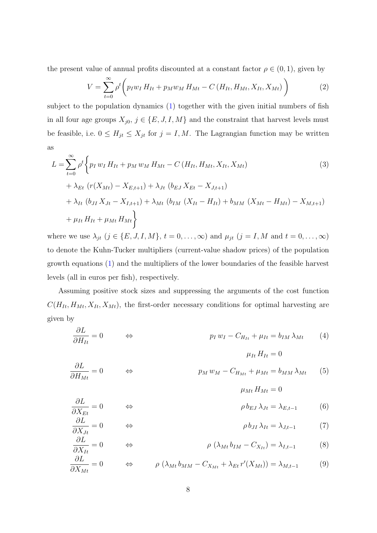the present value of annual profits discounted at a constant factor  $\rho \in (0,1)$ , given by

<span id="page-7-4"></span>
$$
V = \sum_{t=0}^{\infty} \rho^t \left( p_I w_I H_{It} + p_M w_M H_{Mt} - C \left( H_{It}, H_{Mt}, X_{It}, X_{Mt} \right) \right)
$$
(2)

subject to the population dynamics [\(1\)](#page-5-0) together with the given initial numbers of fish in all four age groups  $X_{j0}$ ,  $j \in \{E, J, I, M\}$  and the constraint that harvest levels must be feasible, i.e.  $0 \leq H_{jt} \leq X_{jt}$  for  $j = I, M$ . The Lagrangian function may be written as

$$
L = \sum_{t=0}^{\infty} \rho^{t} \left\{ p_{I} w_{I} H_{It} + p_{M} w_{M} H_{Mt} - C \left( H_{It}, H_{Mt}, X_{It}, X_{Mt} \right) \right\}
$$
  
+  $\lambda_{Et} \left( r(X_{Mt}) - X_{E,t+1} \right) + \lambda_{Jt} \left( b_{EJ} X_{Et} - X_{J,t+1} \right)$   
+  $\lambda_{It} \left( b_{JI} X_{Jt} - X_{I,t+1} \right) + \lambda_{Mt} \left( b_{IM} \left( X_{It} - H_{It} \right) + b_{MM} \left( X_{Mt} - H_{Mt} \right) - X_{M,t+1} \right)$   
+  $\mu_{It} H_{It} + \mu_{Mt} H_{Mt}$  (3)

where we use  $\lambda_{jt}$   $(j \in \{E, J, I, M\}, t = 0, \dots, \infty)$  and  $\mu_{jt}$   $(j = I, M$  and  $t = 0, \dots, \infty)$ to denote the Kuhn-Tucker multipliers (current-value shadow prices) of the population growth equations [\(1\)](#page-5-0) and the multipliers of the lower boundaries of the feasible harvest levels (all in euros per fish), respectively.

Assuming positive stock sizes and suppressing the arguments of the cost function  $C(H_{It}, H_{Mt}, X_{It}, X_{Mt})$ , the first-order necessary conditions for optimal harvesting are given by

$$
\frac{\partial L}{\partial H_{It}} = 0 \qquad \Leftrightarrow \qquad p_I w_I - C_{H_{It}} + \mu_{It} = b_{IM} \lambda_{Mt} \qquad (4)
$$
\n
$$
\mu_{It} H_{It} = 0
$$

$$
\frac{\partial L}{\partial H_{Mt}} = 0 \qquad \Leftrightarrow \qquad \qquad p_M w_M - C_{H_{Mt}} + \mu_{Mt} = b_{MM} \lambda_{Mt} \qquad (5)
$$

$$
\frac{\partial L}{\partial X_{Et}} = 0 \qquad \Leftrightarrow \qquad \qquad \rho b_{EJ} \lambda_{Jt} = \lambda_{E,t-1} \qquad (6)
$$

$$
= 0 \qquad \Leftrightarrow \qquad \qquad \rho b_{JI} \lambda_{It} = \lambda_{J,t-1} \qquad (7)
$$

<span id="page-7-3"></span><span id="page-7-2"></span><span id="page-7-1"></span><span id="page-7-0"></span> $\mu_{Mt} H_{Mt} = 0$ 

$$
\frac{\partial L}{\partial X_{It}} = 0 \qquad \Leftrightarrow \qquad \qquad \rho \left( \lambda_{Mt} b_{IM} - C_{X_{It}} \right) = \lambda_{I, t-1} \qquad (8)
$$

$$
\frac{\partial L}{\partial X_{Mt}} = 0 \qquad \Leftrightarrow \qquad \rho \left( \lambda_{Mt} b_{MM} - C_{X_{Mt}} + \lambda_{Et} r'(X_{Mt}) \right) = \lambda_{M,t-1} \qquad (9)
$$

∂L  $\partial X_{Jt}$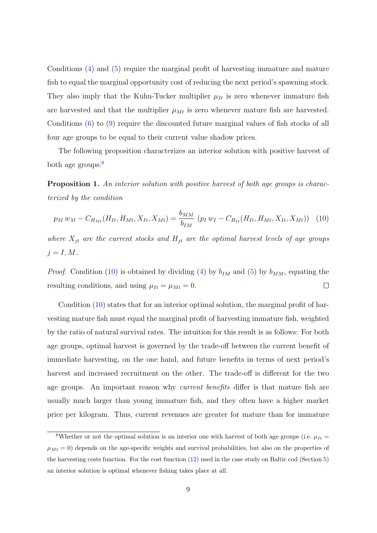Conditions [\(4\)](#page-7-0) and [\(5\)](#page-7-1) require the marginal profit of harvesting immature and mature fish to equal the marginal opportunity cost of reducing the next period's spawning stock. They also imply that the Kuhn-Tucker multiplier  $\mu_{It}$  is zero whenever immature fish are harvested and that the multiplier  $\mu_{Mt}$  is zero whenever mature fish are harvested. Conditions [\(6\)](#page-7-2) to [\(9\)](#page-7-3) require the discounted future marginal values of fish stocks of all four age groups to be equal to their current value shadow prices.

The following proposition characterizes an interior solution with positive harvest of both age groups: $8$ 

<span id="page-8-2"></span>Proposition 1. An interior solution with positive harvest of both age groups is characterized by the condition

<span id="page-8-1"></span>
$$
p_M w_M - C_{H_{Mt}}(H_{It}, H_{Mt}, X_{It}, X_{Mt}) = \frac{b_{MM}}{b_{IM}} (p_I w_I - C_{H_{It}}(H_{It}, H_{Mt}, X_{It}, X_{Mt}))
$$
(10)

where  $X_{jt}$  are the current stocks and  $H_{jt}$  are the optimal harvest levels of age groups  $j = I, M$ .

*Proof.* Condition [\(10\)](#page-8-1) is obtained by dividing [\(4\)](#page-7-0) by  $b_{IM}$  and [\(5\)](#page-7-1) by  $b_{MM}$ , equating the resulting conditions, and using  $\mu_{It} = \mu_{Mt} = 0$ .  $\Box$ 

Condition [\(10\)](#page-8-1) states that for an interior optimal solution, the marginal profit of harvesting mature fish must equal the marginal profit of harvesting immature fish, weighted by the ratio of natural survival rates. The intuition for this result is as follows: For both age groups, optimal harvest is governed by the trade-off between the current benefit of immediate harvesting, on the one hand, and future benefits in terms of next period's harvest and increased recruitment on the other. The trade-off is different for the two age groups. An important reason why *current benefits* differ is that mature fish are usually much larger than young immature fish, and they often have a higher market price per kilogram. Thus, current revenues are greater for mature than for immature

<span id="page-8-0"></span><sup>&</sup>lt;sup>8</sup>Whether or not the optimal solution is an interior one with harvest of both age groups (i.e.  $\mu_{It} =$  $\mu_{Mt} = 0$ ) depends on the age-specific weights and survival probabilities, but also on the properties of the harvesting costs function. For the cost function [\(12\)](#page-16-0) used in the case study on Baltic cod (Section [5\)](#page-13-0) an interior solution is optimal whenever fishing takes place at all.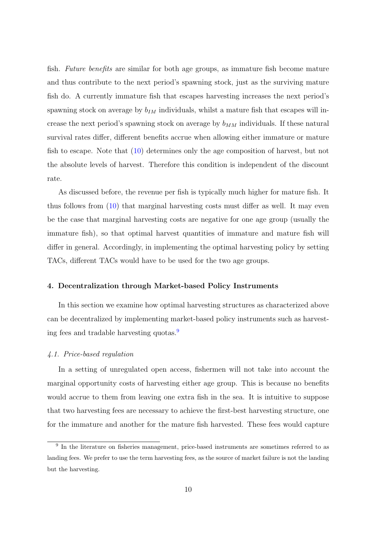fish. Future benefits are similar for both age groups, as immature fish become mature and thus contribute to the next period's spawning stock, just as the surviving mature fish do. A currently immature fish that escapes harvesting increases the next period's spawning stock on average by  $b_{IM}$  individuals, whilst a mature fish that escapes will increase the next period's spawning stock on average by  $b_{MM}$  individuals. If these natural survival rates differ, different benefits accrue when allowing either immature or mature fish to escape. Note that [\(10\)](#page-8-1) determines only the age composition of harvest, but not the absolute levels of harvest. Therefore this condition is independent of the discount rate.

As discussed before, the revenue per fish is typically much higher for mature fish. It thus follows from [\(10\)](#page-8-1) that marginal harvesting costs must differ as well. It may even be the case that marginal harvesting costs are negative for one age group (usually the immature fish), so that optimal harvest quantities of immature and mature fish will differ in general. Accordingly, in implementing the optimal harvesting policy by setting TACs, different TACs would have to be used for the two age groups.

#### <span id="page-9-0"></span>4. Decentralization through Market-based Policy Instruments

In this section we examine how optimal harvesting structures as characterized above can be decentralized by implementing market-based policy instruments such as harvesting fees and tradable harvesting quotas.[9](#page-9-1)

# 4.1. Price-based regulation

In a setting of unregulated open access, fishermen will not take into account the marginal opportunity costs of harvesting either age group. This is because no benefits would accrue to them from leaving one extra fish in the sea. It is intuitive to suppose that two harvesting fees are necessary to achieve the first-best harvesting structure, one for the immature and another for the mature fish harvested. These fees would capture

<span id="page-9-1"></span><sup>&</sup>lt;sup>9</sup> In the literature on fisheries management, price-based instruments are sometimes referred to as landing fees. We prefer to use the term harvesting fees, as the source of market failure is not the landing but the harvesting.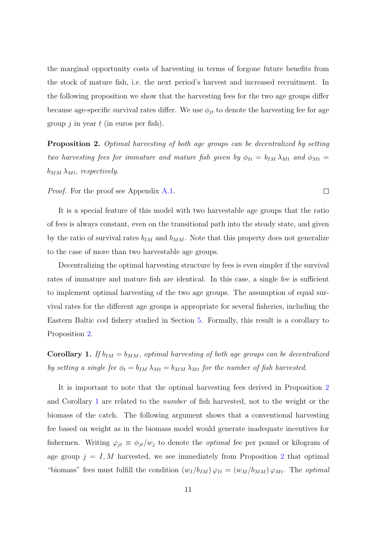the marginal opportunity costs of harvesting in terms of forgone future benefits from the stock of mature fish, i.e. the next period's harvest and increased recruitment. In the following proposition we show that the harvesting fees for the two age groups differ because age-specific survival rates differ. We use  $\phi_{jt}$  to denote the harvesting fee for age group  $j$  in year  $t$  (in euros per fish).

<span id="page-10-0"></span>Proposition 2. Optimal harvesting of both age groups can be decentralized by setting two harvesting fees for immature and mature fish given by  $\phi_{It} = b_{IM} \lambda_{Mt}$  and  $\phi_{Mt} =$  $b_{MM}$   $\lambda_{Mt}$ , respectively.

 $\Box$ 

Proof. For the proof see Appendix [A.1.](#page-28-0)

It is a special feature of this model with two harvestable age groups that the ratio of fees is always constant, even on the transitional path into the steady state, and given by the ratio of survival rates  $b_{IM}$  and  $b_{MM}$ . Note that this property does not generalize to the case of more than two harvestable age groups.

Decentralizing the optimal harvesting structure by fees is even simpler if the survival rates of immature and mature fish are identical. In this case, a single fee is sufficient to implement optimal harvesting of the two age groups. The assumption of equal survival rates for the different age groups is appropriate for several fisheries, including the Eastern Baltic cod fishery studied in Section [5.](#page-13-0) Formally, this result is a corollary to Proposition [2.](#page-10-0)

<span id="page-10-1"></span>**Corollary 1.** If  $b_{IM} = b_{MM}$ , optimal harvesting of both age groups can be decentralized by setting a single fee  $\phi_t = b_{IM} \lambda_{Mt} = b_{MM} \lambda_{Mt}$  for the number of fish harvested.

It is important to note that the optimal harvesting fees derived in Proposition [2](#page-10-0) and Corollary [1](#page-10-1) are related to the number of fish harvested, not to the weight or the biomass of the catch. The following argument shows that a conventional harvesting fee based on weight as in the biomass model would generate inadequate incentives for fishermen. Writing  $\varphi_{jt} \equiv \varphi_{jt}/w_j$  to denote the *optimal* fee per pound or kilogram of age group  $j = I, M$  harvested, we see immediately from Proposition [2](#page-10-0) that optimal "biomass" fees must fulfill the condition  $(w_I/b_{IM}) \varphi_{It} = (w_M/b_{MM}) \varphi_{Mt}$ . The *optimal*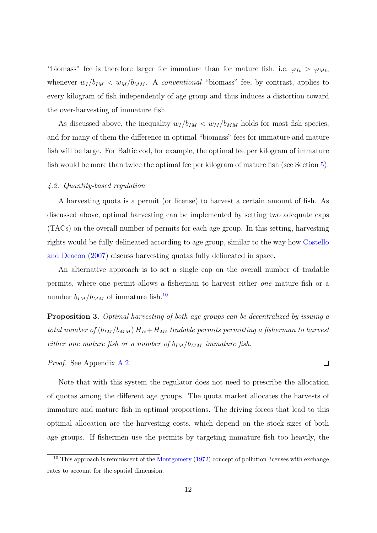"biomass" fee is therefore larger for immature than for mature fish, i.e.  $\varphi_{It} > \varphi_{Mt}$ , whenever  $w_I/b_{IM} < w_M/b_{MM}$ . A conventional "biomass" fee, by contrast, applies to every kilogram of fish independently of age group and thus induces a distortion toward the over-harvesting of immature fish.

As discussed above, the inequality  $w_I/b_{IM} < w_M/b_{MM}$  holds for most fish species, and for many of them the difference in optimal "biomass" fees for immature and mature fish will be large. For Baltic cod, for example, the optimal fee per kilogram of immature fish would be more than twice the optimal fee per kilogram of mature fish (see Section [5\)](#page-13-0).

# 4.2. Quantity-based regulation

A harvesting quota is a permit (or license) to harvest a certain amount of fish. As discussed above, optimal harvesting can be implemented by setting two adequate caps (TACs) on the overall number of permits for each age group. In this setting, harvesting rights would be fully delineated according to age group, similar to the way how [Costello](#page-36-1) [and Deacon](#page-36-1) [\(2007\)](#page-36-1) discuss harvesting quotas fully delineated in space.

An alternative approach is to set a single cap on the overall number of tradable permits, where one permit allows a fisherman to harvest either one mature fish or a number  $b_{IM}/b_{MM}$  of immature fish.<sup>[10](#page-11-0)</sup>

<span id="page-11-1"></span>Proposition 3. Optimal harvesting of both age groups can be decentralized by issuing a total number of  $(b_{IM}/b_{MM}) H_{It}+H_{Mt}$  tradable permits permitting a fisherman to harvest either one mature fish or a number of  $b_{IM}/b_{MM}$  immature fish.

Proof. See Appendix [A.2.](#page-28-1)

Note that with this system the regulator does not need to prescribe the allocation of quotas among the different age groups. The quota market allocates the harvests of immature and mature fish in optimal proportions. The driving forces that lead to this optimal allocation are the harvesting costs, which depend on the stock sizes of both age groups. If fishermen use the permits by targeting immature fish too heavily, the

 $\Box$ 

<span id="page-11-0"></span> $10$  This approach is reminiscent of the [Montgomery](#page-38-4) [\(1972\)](#page-38-4) concept of pollution licenses with exchange rates to account for the spatial dimension.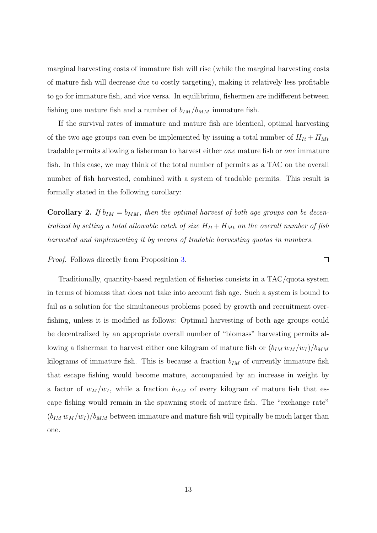marginal harvesting costs of immature fish will rise (while the marginal harvesting costs of mature fish will decrease due to costly targeting), making it relatively less profitable to go for immature fish, and vice versa. In equilibrium, fishermen are indifferent between fishing one mature fish and a number of  $b_{IM}/b_{MM}$  immature fish.

If the survival rates of immature and mature fish are identical, optimal harvesting of the two age groups can even be implemented by issuing a total number of  $H_{It} + H_{Mt}$ tradable permits allowing a fisherman to harvest either one mature fish or one immature fish. In this case, we may think of the total number of permits as a TAC on the overall number of fish harvested, combined with a system of tradable permits. This result is formally stated in the following corollary:

**Corollary 2.** If  $b_{IM} = b_{MM}$ , then the optimal harvest of both age groups can be decentralized by setting a total allowable catch of size  $H_{It} + H_{Mt}$  on the overall number of fish harvested and implementing it by means of tradable harvesting quotas in numbers.

 $\Box$ 

Proof. Follows directly from Proposition [3.](#page-11-1)

Traditionally, quantity-based regulation of fisheries consists in a TAC/quota system in terms of biomass that does not take into account fish age. Such a system is bound to fail as a solution for the simultaneous problems posed by growth and recruitment overfishing, unless it is modified as follows: Optimal harvesting of both age groups could be decentralized by an appropriate overall number of "biomass" harvesting permits allowing a fisherman to harvest either one kilogram of mature fish or  $(b_{IM} w_M/w_I)/b_{MM}$ kilograms of immature fish. This is because a fraction  $b_{IM}$  of currently immature fish that escape fishing would become mature, accompanied by an increase in weight by a factor of  $w_M/w_I$ , while a fraction  $b_{MM}$  of every kilogram of mature fish that escape fishing would remain in the spawning stock of mature fish. The "exchange rate"  $(b_{IM} w_M/w_I)/b_{MM}$  between immature and mature fish will typically be much larger than one.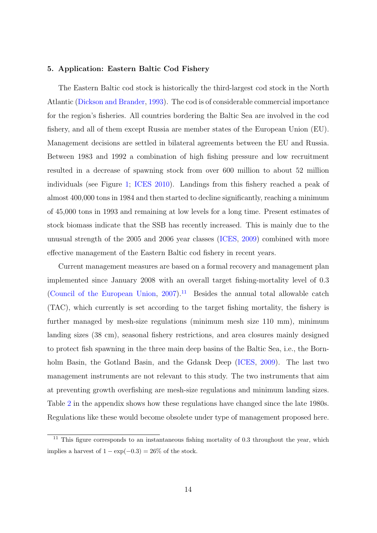# <span id="page-13-0"></span>5. Application: Eastern Baltic Cod Fishery

The Eastern Baltic cod stock is historically the third-largest cod stock in the North Atlantic [\(Dickson and Brander,](#page-36-6) [1993\)](#page-36-6). The cod is of considerable commercial importance for the region's fisheries. All countries bordering the Baltic Sea are involved in the cod fishery, and all of them except Russia are member states of the European Union (EU). Management decisions are settled in bilateral agreements between the EU and Russia. Between 1983 and 1992 a combination of high fishing pressure and low recruitment resulted in a decrease of spawning stock from over 600 million to about 52 million individuals (see Figure [1;](#page-21-0) [ICES](#page-38-5) [2010\)](#page-38-5). Landings from this fishery reached a peak of almost 400,000 tons in 1984 and then started to decline significantly, reaching a minimum of 45,000 tons in 1993 and remaining at low levels for a long time. Present estimates of stock biomass indicate that the SSB has recently increased. This is mainly due to the unusual strength of the 2005 and 2006 year classes [\(ICES,](#page-38-6) [2009\)](#page-38-6) combined with more effective management of the Eastern Baltic cod fishery in recent years.

Current management measures are based on a formal recovery and management plan implemented since January 2008 with an overall target fishing-mortality level of 0.3 [\(Council of the European Union,](#page-36-7) [2007\)](#page-36-7).<sup>[11](#page-13-1)</sup> Besides the annual total allowable catch (TAC), which currently is set according to the target fishing mortality, the fishery is further managed by mesh-size regulations (minimum mesh size 110 mm), minimum landing sizes (38 cm), seasonal fishery restrictions, and area closures mainly designed to protect fish spawning in the three main deep basins of the Baltic Sea, i.e., the Bornholm Basin, the Gotland Basin, and the Gdansk Deep [\(ICES,](#page-38-6) [2009\)](#page-38-6). The last two management instruments are not relevant to this study. The two instruments that aim at preventing growth overfishing are mesh-size regulations and minimum landing sizes. Table [2](#page-34-0) in the appendix shows how these regulations have changed since the late 1980s. Regulations like these would become obsolete under type of management proposed here.

<span id="page-13-1"></span> $11$  This figure corresponds to an instantaneous fishing mortality of 0.3 throughout the year, which implies a harvest of  $1 - \exp(-0.3) = 26\%$  of the stock.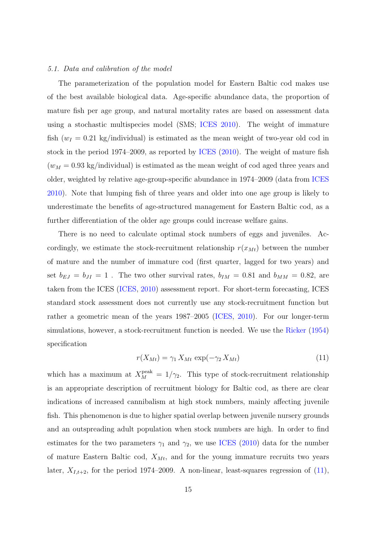#### 5.1. Data and calibration of the model

The parameterization of the population model for Eastern Baltic cod makes use of the best available biological data. Age-specific abundance data, the proportion of mature fish per age group, and natural mortality rates are based on assessment data using a stochastic multispecies model (SMS; [ICES](#page-38-5) [2010\)](#page-38-5). The weight of immature fish  $(w_I = 0.21 \text{ kg/individual})$  is estimated as the mean weight of two-year old cod in stock in the period 1974–2009, as reported by [ICES](#page-38-5) [\(2010\)](#page-38-5). The weight of mature fish  $(w_M = 0.93 \text{ kg/individual})$  is estimated as the mean weight of cod aged three years and older, weighted by relative age-group-specific abundance in 1974–2009 (data from [ICES](#page-38-5) [2010\)](#page-38-5). Note that lumping fish of three years and older into one age group is likely to underestimate the benefits of age-structured management for Eastern Baltic cod, as a further differentiation of the older age groups could increase welfare gains.

There is no need to calculate optimal stock numbers of eggs and juveniles. Accordingly, we estimate the stock-recruitment relationship  $r(x_{Mt})$  between the number of mature and the number of immature cod (first quarter, lagged for two years) and set  $b_{EJ} = b_{JI} = 1$ . The two other survival rates,  $b_{IM} = 0.81$  and  $b_{MM} = 0.82$ , are taken from the ICES [\(ICES,](#page-38-5) [2010\)](#page-38-5) assessment report. For short-term forecasting, ICES standard stock assessment does not currently use any stock-recruitment function but rather a geometric mean of the years 1987–2005 [\(ICES,](#page-38-5) [2010\)](#page-38-5). For our longer-term simulations, however, a stock-recruitment function is needed. We use the [Ricker](#page-39-7) [\(1954\)](#page-39-7) specification

<span id="page-14-0"></span>
$$
r(X_{Mt}) = \gamma_1 X_{Mt} \exp(-\gamma_2 X_{Mt}) \tag{11}
$$

which has a maximum at  $X_M^{\text{peak}} = 1/\gamma_2$ . This type of stock-recruitment relationship is an appropriate description of recruitment biology for Baltic cod, as there are clear indications of increased cannibalism at high stock numbers, mainly affecting juvenile fish. This phenomenon is due to higher spatial overlap between juvenile nursery grounds and an outspreading adult population when stock numbers are high. In order to find estimates for the two parameters  $\gamma_1$  and  $\gamma_2$ , we use [ICES](#page-38-5) [\(2010\)](#page-38-5) data for the number of mature Eastern Baltic cod,  $X_{Mt}$ , and for the young immature recruits two years later,  $X_{I,t+2}$ , for the period 1974–2009. A non-linear, least-squares regression of [\(11\)](#page-14-0),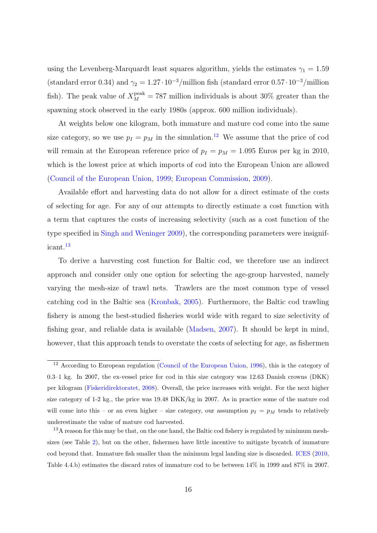using the Levenberg-Marquardt least squares algorithm, yields the estimates  $\gamma_1 = 1.59$ (standard error 0.34) and  $\gamma_2 = 1.27 \cdot 10^{-3}/\text{million}$  fish (standard error 0.57 $\cdot 10^{-3}/\text{million}$ fish). The peak value of  $X_M^{\text{peak}} = 787$  million individuals is about 30% greater than the spawning stock observed in the early 1980s (approx. 600 million individuals).

At weights below one kilogram, both immature and mature cod come into the same size category, so we use  $p_I = p_M$  in the simulation.<sup>[12](#page-15-0)</sup> We assume that the price of cod will remain at the European reference price of  $p_I = p_M = 1.095$  Euros per kg in 2010, which is the lowest price at which imports of cod into the European Union are allowed [\(Council of the European Union,](#page-36-8) [1999;](#page-36-8) [European Commission,](#page-37-5) [2009\)](#page-37-5).

Available effort and harvesting data do not allow for a direct estimate of the costs of selecting for age. For any of our attempts to directly estimate a cost function with a term that captures the costs of increasing selectivity (such as a cost function of the type specified in [Singh and Weninger](#page-39-8) [2009\)](#page-39-8), the corresponding parameters were insignificant.[13](#page-15-1)

To derive a harvesting cost function for Baltic cod, we therefore use an indirect approach and consider only one option for selecting the age-group harvested, namely varying the mesh-size of trawl nets. Trawlers are the most common type of vessel catching cod in the Baltic sea [\(Kronbak,](#page-38-1) [2005\)](#page-38-1). Furthermore, the Baltic cod trawling fishery is among the best-studied fisheries world wide with regard to size selectivity of fishing gear, and reliable data is available [\(Madsen,](#page-38-3) [2007\)](#page-38-3). It should be kept in mind, however, that this approach tends to overstate the costs of selecting for age, as fishermen

<span id="page-15-0"></span><sup>&</sup>lt;sup>12</sup> According to European regulation [\(Council of the European Union,](#page-36-9) [1996\)](#page-36-9), this is the category of 0.3–1 kg. In 2007, the ex-vessel price for cod in this size category was 12.63 Danish crowns (DKK) per kilogram [\(Fiskeridirektoratet,](#page-37-6) [2008\)](#page-37-6). Overall, the price increases with weight. For the next higher size category of 1-2 kg., the price was 19.48 DKK/kg in 2007. As in practice some of the mature cod will come into this – or an even higher – size category, our assumption  $p_I = p_M$  tends to relatively underestimate the value of mature cod harvested.

<span id="page-15-1"></span><sup>&</sup>lt;sup>13</sup>A reason for this may be that, on the one hand, the Baltic cod fishery is regulated by minimum meshsizes (see Table [2\)](#page-34-0), but on the other, fishermen have little incentive to mitigate bycatch of immature cod beyond that. Immature fish smaller than the minimum legal landing size is discarded. [ICES](#page-38-5) [\(2010,](#page-38-5) Table 4.4.b) estimates the discard rates of immature cod to be between 14% in 1999 and 87% in 2007.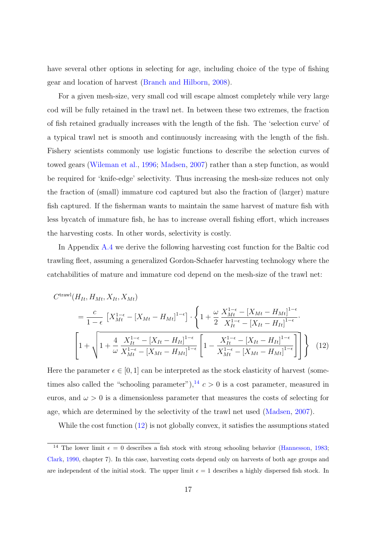have several other options in selecting for age, including choice of the type of fishing gear and location of harvest [\(Branch and Hilborn,](#page-35-0) [2008\)](#page-35-0).

For a given mesh-size, very small cod will escape almost completely while very large cod will be fully retained in the trawl net. In between these two extremes, the fraction of fish retained gradually increases with the length of the fish. The 'selection curve' of a typical trawl net is smooth and continuously increasing with the length of the fish. Fishery scientists commonly use logistic functions to describe the selection curves of towed gears [\(Wileman et al.,](#page-40-2) [1996;](#page-40-2) [Madsen,](#page-38-3) [2007\)](#page-38-3) rather than a step function, as would be required for 'knife-edge' selectivity. Thus increasing the mesh-size reduces not only the fraction of (small) immature cod captured but also the fraction of (larger) mature fish captured. If the fisherman wants to maintain the same harvest of mature fish with less bycatch of immature fish, he has to increase overall fishing effort, which increases the harvesting costs. In other words, selectivity is costly.

In Appendix [A.4](#page-30-0) we derive the following harvesting cost function for the Baltic cod trawling fleet, assuming a generalized Gordon-Schaefer harvesting technology where the catchabilities of mature and immature cod depend on the mesh-size of the trawl net:

<span id="page-16-0"></span>
$$
C^{\text{trawl}}(H_{It}, H_{Mt}, X_{It}, X_{Mt})
$$
\n
$$
= \frac{c}{1 - \epsilon} \left[ X_{Mt}^{1 - \epsilon} - \left[ X_{Mt} - H_{Mt} \right]^{1 - \epsilon} \right] \cdot \left\{ 1 + \frac{\omega}{2} \frac{X_{Mt}^{1 - \epsilon} - \left[ X_{Mt} - H_{Mt} \right]^{1 - \epsilon}}{X_{It}^{1 - \epsilon} - \left[ X_{It} - H_{It} \right]^{1 - \epsilon}} \right\}.
$$
\n
$$
\left[ 1 + \sqrt{1 + \frac{4}{\omega} \frac{X_{It}^{1 - \epsilon} - \left[ X_{It} - H_{It} \right]^{1 - \epsilon}}{X_{Mt}^{1 - \epsilon} - \left[ X_{Mt} - H_{Mt} \right]^{1 - \epsilon}} \left[ 1 - \frac{X_{It}^{1 - \epsilon} - \left[ X_{It} - H_{It} \right]^{1 - \epsilon}}{X_{Mt}^{1 - \epsilon} - \left[ X_{Mt} - H_{Mt} \right]^{1 - \epsilon}} \right] \right\} \tag{12}
$$

Here the parameter  $\epsilon \in [0, 1]$  can be interpreted as the stock elasticity of harvest (some-times also called the "schooling parameter"),<sup>[14](#page-16-1)</sup>  $c > 0$  is a cost parameter, measured in euros, and  $\omega > 0$  is a dimensionless parameter that measures the costs of selecting for age, which are determined by the selectivity of the trawl net used [\(Madsen,](#page-38-3) [2007\)](#page-38-3).

While the cost function [\(12\)](#page-16-0) is not globally convex, it satisfies the assumptions stated

<span id="page-16-1"></span><sup>&</sup>lt;sup>14</sup> The lower limit  $\epsilon = 0$  describes a fish stock with strong schooling behavior [\(Hannesson,](#page-37-7) [1983;](#page-37-7) [Clark,](#page-36-0) [1990,](#page-36-0) chapter 7). In this case, harvesting costs depend only on harvests of both age groups and are independent of the initial stock. The upper limit  $\epsilon = 1$  describes a highly dispersed fish stock. In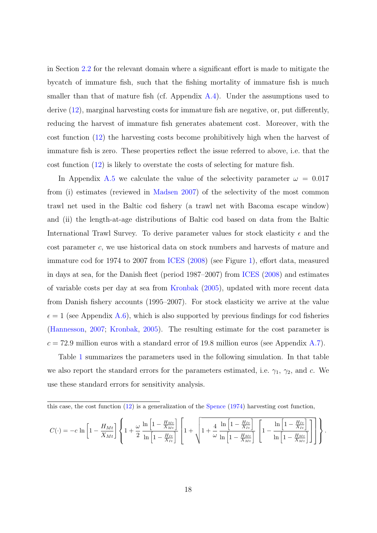in Section [2.2](#page-5-1) for the relevant domain where a significant effort is made to mitigate the bycatch of immature fish, such that the fishing mortality of immature fish is much smaller than that of mature fish (cf. Appendix [A.4\)](#page-30-0). Under the assumptions used to derive [\(12\)](#page-16-0), marginal harvesting costs for immature fish are negative, or, put differently, reducing the harvest of immature fish generates abatement cost. Moreover, with the cost function [\(12\)](#page-16-0) the harvesting costs become prohibitively high when the harvest of immature fish is zero. These properties reflect the issue referred to above, i.e. that the cost function  $(12)$  is likely to overstate the costs of selecting for mature fish.

In Appendix [A.5](#page-32-0) we calculate the value of the selectivity parameter  $\omega = 0.017$ from (i) estimates (reviewed in [Madsen](#page-38-3) [2007\)](#page-38-3) of the selectivity of the most common trawl net used in the Baltic cod fishery (a trawl net with Bacoma escape window) and (ii) the length-at-age distributions of Baltic cod based on data from the Baltic International Trawl Survey. To derive parameter values for stock elasticity  $\epsilon$  and the cost parameter c, we use historical data on stock numbers and harvests of mature and immature cod for 1974 to 2007 from [ICES](#page-38-7) [\(2008\)](#page-38-7) (see Figure [1\)](#page-21-0), effort data, measured in days at sea, for the Danish fleet (period 1987–2007) from [ICES](#page-38-7) [\(2008\)](#page-38-7) and estimates of variable costs per day at sea from [Kronbak](#page-38-1) [\(2005\)](#page-38-1), updated with more recent data from Danish fishery accounts (1995–2007). For stock elasticity we arrive at the value  $\epsilon = 1$  (see Appendix [A.6\)](#page-33-0), which is also supported by previous findings for cod fisheries [\(Hannesson,](#page-37-8) [2007;](#page-37-8) [Kronbak,](#page-38-1) [2005\)](#page-38-1). The resulting estimate for the cost parameter is  $c = 72.9$  million euros with a standard error of 19.8 million euros (see Appendix [A.7\)](#page-35-3).

Table [1](#page-18-0) summarizes the parameters used in the following simulation. In that table we also report the standard errors for the parameters estimated, i.e.  $\gamma_1$ ,  $\gamma_2$ , and c. We use these standard errors for sensitivity analysis.

this case, the cost function [\(12\)](#page-16-0) is a generalization of the [Spence](#page-39-9) [\(1974\)](#page-39-9) harvesting cost function,

$$
C(\cdot) = -c \ln\left[1 - \frac{H_{Mt}}{X_{Mt}}\right] \left\{1 + \frac{\omega}{2} \frac{\ln\left[1 - \frac{H_{Mt}}{X_{Mt}}\right]}{\ln\left[1 - \frac{H_{It}}{X_{It}}\right]} \left[1 + \sqrt{1 + \frac{4}{\omega} \frac{\ln\left[1 - \frac{H_{It}}{X_{It}}\right]}{\ln\left[1 - \frac{H_{Mt}}{X_{Mt}}\right]}} \left[1 - \frac{\ln\left[1 - \frac{H_{It}}{X_{It}}\right]}{\ln\left[1 - \frac{H_{Mt}}{X_{Mt}}\right]} \right]\right\}.
$$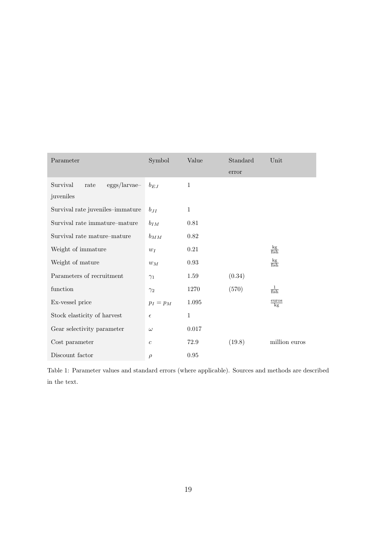| Parameter                          | Symbol           | Value        | Standard | Unit                            |
|------------------------------------|------------------|--------------|----------|---------------------------------|
|                                    |                  |              | error    |                                 |
| $eggs/larvae-$<br>Survival<br>rate | $b_{EJ}$         | $\mathbf{1}$ |          |                                 |
| juveniles                          |                  |              |          |                                 |
| Survival rate juveniles-immature   | $b_{JI}$         | $\mathbf{1}$ |          |                                 |
| Survival rate immature-mature      | $b_{IM}$         | 0.81         |          |                                 |
| Survival rate mature-mature        | $b_{MM}$         | 0.82         |          |                                 |
| Weight of immature                 | $w_I$            | 0.21         |          | $\frac{\text{kg}}{\text{fish}}$ |
| Weight of mature                   | $w_M$            | 0.93         |          | $rac{kg}{fish}$                 |
| Parameters of recruitment          | $\gamma_1$       | 1.59         | (0.34)   |                                 |
| function                           | $\gamma_2$       | 1270         | (570)    | $\frac{1}{\text{fish}}$         |
| Ex-vessel price                    | $p_I = p_M$      | $1.095\,$    |          | euros<br>kg                     |
| Stock elasticity of harvest        | $\epsilon$       | $\mathbf{1}$ |          |                                 |
| Gear selectivity parameter         | $\omega$         | 0.017        |          |                                 |
| Cost parameter                     | $\boldsymbol{c}$ | 72.9         | (19.8)   | million euros                   |
| Discount factor                    | $\rho$           | $\rm 0.95$   |          |                                 |

<span id="page-18-0"></span>Table 1: Parameter values and standard errors (where applicable). Sources and methods are described in the text.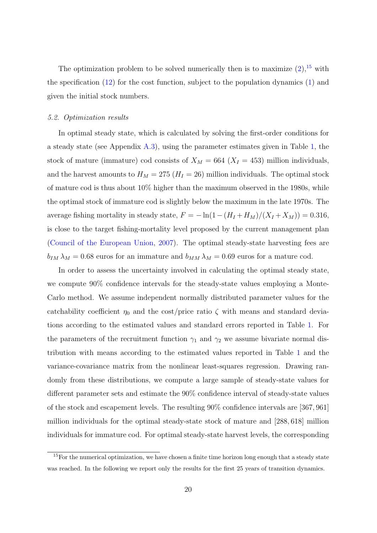The optimization problem to be solved numerically then is to maximize  $(2)$ , <sup>[15](#page-19-0)</sup> with the specification  $(12)$  for the cost function, subject to the population dynamics  $(1)$  and given the initial stock numbers.

#### 5.2. Optimization results

In optimal steady state, which is calculated by solving the first-order conditions for a steady state (see Appendix  $A.3$ ), using the parameter estimates given in Table [1,](#page-18-0) the stock of mature (immature) cod consists of  $X_M = 664$  ( $X_I = 453$ ) million individuals, and the harvest amounts to  $H_M = 275$  ( $H_I = 26$ ) million individuals. The optimal stock of mature cod is thus about 10% higher than the maximum observed in the 1980s, while the optimal stock of immature cod is slightly below the maximum in the late 1970s. The average fishing mortality in steady state,  $F = -\ln(1-(H_I + H_M)/(X_I + X_M)) = 0.316$ , is close to the target fishing-mortality level proposed by the current management plan [\(Council of the European Union,](#page-36-7) [2007\)](#page-36-7). The optimal steady-state harvesting fees are  $b_{IM}$   $\lambda_M = 0.68$  euros for an immature and  $b_{MM}$   $\lambda_M = 0.69$  euros for a mature cod.

In order to assess the uncertainty involved in calculating the optimal steady state, we compute 90% confidence intervals for the steady-state values employing a Monte-Carlo method. We assume independent normally distributed parameter values for the catchability coefficient  $\eta_0$  and the cost/price ratio  $\zeta$  with means and standard deviations according to the estimated values and standard errors reported in Table [1.](#page-18-0) For the parameters of the recruitment function  $\gamma_1$  and  $\gamma_2$  we assume bivariate normal distribution with means according to the estimated values reported in Table [1](#page-18-0) and the variance-covariance matrix from the nonlinear least-squares regression. Drawing randomly from these distributions, we compute a large sample of steady-state values for different parameter sets and estimate the 90% confidence interval of steady-state values of the stock and escapement levels. The resulting 90% confidence intervals are [367, 961] million individuals for the optimal steady-state stock of mature and [288, 618] million individuals for immature cod. For optimal steady-state harvest levels, the corresponding

<span id="page-19-0"></span><sup>&</sup>lt;sup>15</sup>For the numerical optimization, we have chosen a finite time horizon long enough that a steady state was reached. In the following we report only the results for the first 25 years of transition dynamics.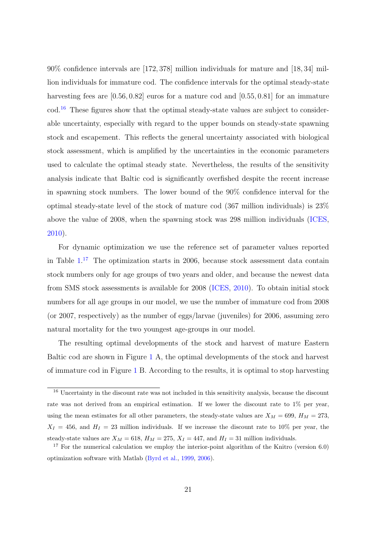90% confidence intervals are [172, 378] million individuals for mature and [18, 34] million individuals for immature cod. The confidence intervals for the optimal steady-state harvesting fees are  $[0.56, 0.82]$  euros for a mature cod and  $[0.55, 0.81]$  for an immature cod.[16](#page-20-0) These figures show that the optimal steady-state values are subject to considerable uncertainty, especially with regard to the upper bounds on steady-state spawning stock and escapement. This reflects the general uncertainty associated with biological stock assessment, which is amplified by the uncertainties in the economic parameters used to calculate the optimal steady state. Nevertheless, the results of the sensitivity analysis indicate that Baltic cod is significantly overfished despite the recent increase in spawning stock numbers. The lower bound of the 90% confidence interval for the optimal steady-state level of the stock of mature cod (367 million individuals) is 23% above the value of 2008, when the spawning stock was 298 million individuals [\(ICES,](#page-38-5) [2010\)](#page-38-5).

For dynamic optimization we use the reference set of parameter values reported in Table [1.](#page-18-0) [17](#page-20-1) The optimization starts in 2006, because stock assessment data contain stock numbers only for age groups of two years and older, and because the newest data from SMS stock assessments is available for 2008 [\(ICES,](#page-38-5) [2010\)](#page-38-5). To obtain initial stock numbers for all age groups in our model, we use the number of immature cod from 2008 (or 2007, respectively) as the number of eggs/larvae (juveniles) for 2006, assuming zero natural mortality for the two youngest age-groups in our model.

The resulting optimal developments of the stock and harvest of mature Eastern Baltic cod are shown in Figure [1](#page-21-0) A, the optimal developments of the stock and harvest of immature cod in Figure [1](#page-21-0) B. According to the results, it is optimal to stop harvesting

<span id="page-20-0"></span><sup>&</sup>lt;sup>16</sup> Uncertainty in the discount rate was not included in this sensitivity analysis, because the discount rate was not derived from an empirical estimation. If we lower the discount rate to 1% per year, using the mean estimates for all other parameters, the steady-state values are  $X_M = 699$ ,  $H_M = 273$ ,  $X_I = 456$ , and  $H_I = 23$  million individuals. If we increase the discount rate to 10% per year, the steady-state values are  $X_M = 618$ ,  $H_M = 275$ ,  $X_I = 447$ , and  $H_I = 31$  million individuals.

<span id="page-20-1"></span> $17$  For the numerical calculation we employ the interior-point algorithm of the Knitro (version 6.0) optimization software with Matlab [\(Byrd et al.,](#page-35-4) [1999,](#page-35-4) [2006\)](#page-36-10).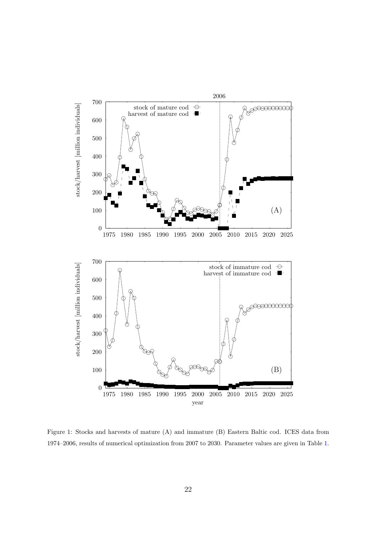

<span id="page-21-0"></span>Figure 1: Stocks and harvests of mature (A) and immature (B) Eastern Baltic cod. ICES data from 1974–2006, results of numerical optimization from 2007 to 2030. Parameter values are given in Table [1.](#page-18-0)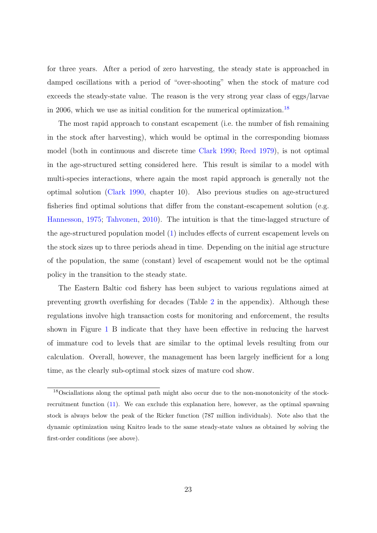for three years. After a period of zero harvesting, the steady state is approached in damped oscillations with a period of "over-shooting" when the stock of mature cod exceeds the steady-state value. The reason is the very strong year class of eggs/larvae in 2006, which we use as initial condition for the numerical optimization.[18](#page-22-0)

The most rapid approach to constant escapement (i.e. the number of fish remaining in the stock after harvesting), which would be optimal in the corresponding biomass model (both in continuous and discrete time [Clark](#page-36-0) [1990;](#page-36-0) [Reed](#page-39-10) [1979\)](#page-39-10), is not optimal in the age-structured setting considered here. This result is similar to a model with multi-species interactions, where again the most rapid approach is generally not the optimal solution [\(Clark](#page-36-0) [1990,](#page-36-0) chapter 10). Also previous studies on age-structured fisheries find optimal solutions that differ from the constant-escapement solution (e.g. [Hannesson,](#page-37-3) [1975;](#page-37-3) [Tahvonen,](#page-39-2) [2010\)](#page-39-2). The intuition is that the time-lagged structure of the age-structured population model [\(1\)](#page-5-0) includes effects of current escapement levels on the stock sizes up to three periods ahead in time. Depending on the initial age structure of the population, the same (constant) level of escapement would not be the optimal policy in the transition to the steady state.

The Eastern Baltic cod fishery has been subject to various regulations aimed at preventing growth overfishing for decades (Table [2](#page-34-0) in the appendix). Although these regulations involve high transaction costs for monitoring and enforcement, the results shown in Figure [1](#page-21-0) B indicate that they have been effective in reducing the harvest of immature cod to levels that are similar to the optimal levels resulting from our calculation. Overall, however, the management has been largely inefficient for a long time, as the clearly sub-optimal stock sizes of mature cod show.

<span id="page-22-0"></span><sup>18</sup>Osciallations along the optimal path might also occur due to the non-monotonicity of the stockrecruitment function [\(11\)](#page-14-0). We can exclude this explanation here, however, as the optimal spawning stock is always below the peak of the Ricker function (787 million individuals). Note also that the dynamic optimization using Knitro leads to the same steady-state values as obtained by solving the first-order conditions (see above).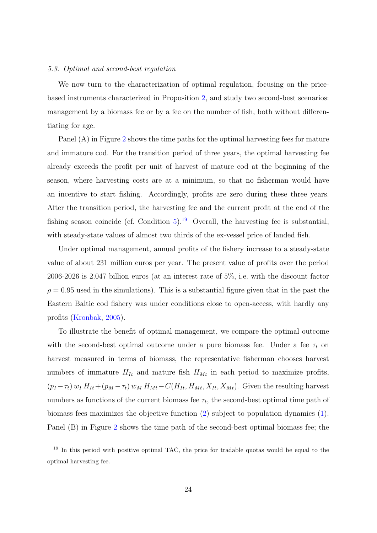#### 5.3. Optimal and second-best regulation

We now turn to the characterization of optimal regulation, focusing on the pricebased instruments characterized in Proposition [2,](#page-10-0) and study two second-best scenarios: management by a biomass fee or by a fee on the number of fish, both without differentiating for age.

Panel (A) in Figure [2](#page-24-0) shows the time paths for the optimal harvesting fees for mature and immature cod. For the transition period of three years, the optimal harvesting fee already exceeds the profit per unit of harvest of mature cod at the beginning of the season, where harvesting costs are at a minimum, so that no fisherman would have an incentive to start fishing. Accordingly, profits are zero during these three years. After the transition period, the harvesting fee and the current profit at the end of the fishing season coincide (cf. Condition  $5$ ).<sup>[19](#page-23-0)</sup> Overall, the harvesting fee is substantial, with steady-state values of almost two thirds of the ex-vessel price of landed fish.

Under optimal management, annual profits of the fishery increase to a steady-state value of about 231 million euros per year. The present value of profits over the period 2006-2026 is 2.047 billion euros (at an interest rate of 5%, i.e. with the discount factor  $\rho = 0.95$  used in the simulations). This is a substantial figure given that in the past the Eastern Baltic cod fishery was under conditions close to open-access, with hardly any profits [\(Kronbak,](#page-38-1) [2005\)](#page-38-1).

To illustrate the benefit of optimal management, we compare the optimal outcome with the second-best optimal outcome under a pure biomass fee. Under a fee  $\tau_t$  on harvest measured in terms of biomass, the representative fisherman chooses harvest numbers of immature  $H_{It}$  and mature fish  $H_{Mt}$  in each period to maximize profits,  $(p_I - \tau_t) w_I H_{It} + (p_M - \tau_t) w_M H_{Mt} - C(H_{It}, H_{Mt}, X_{It}, X_{Mt})$ . Given the resulting harvest numbers as functions of the current biomass fee  $\tau_t$ , the second-best optimal time path of biomass fees maximizes the objective function [\(2\)](#page-7-4) subject to population dynamics [\(1\)](#page-5-0). Panel (B) in Figure [2](#page-24-0) shows the time path of the second-best optimal biomass fee; the

<span id="page-23-0"></span> $19$  In this period with positive optimal TAC, the price for tradable quotas would be equal to the optimal harvesting fee.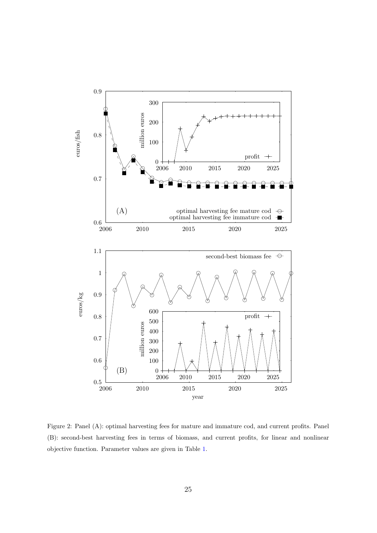

<span id="page-24-0"></span>Figure 2: Panel (A): optimal harvesting fees for mature and immature cod, and current profits. Panel (B): second-best harvesting fees in terms of biomass, and current profits, for linear and nonlinear objective function. Parameter values are given in Table [1.](#page-18-0)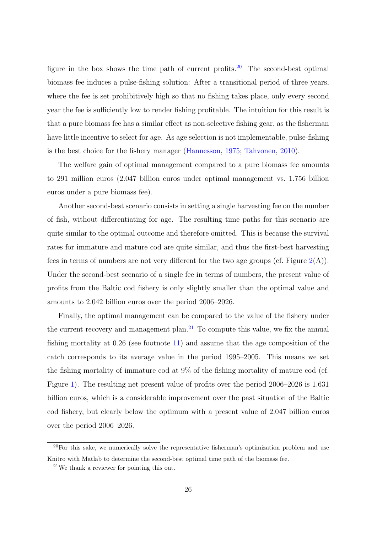figure in the box shows the time path of current profits.<sup>[20](#page-25-0)</sup> The second-best optimal biomass fee induces a pulse-fishing solution: After a transitional period of three years, where the fee is set prohibitively high so that no fishing takes place, only every second year the fee is sufficiently low to render fishing profitable. The intuition for this result is that a pure biomass fee has a similar effect as non-selective fishing gear, as the fisherman have little incentive to select for age. As age selection is not implementable, pulse-fishing is the best choice for the fishery manager [\(Hannesson,](#page-37-3) [1975;](#page-37-3) [Tahvonen,](#page-39-2) [2010\)](#page-39-2).

The welfare gain of optimal management compared to a pure biomass fee amounts to 291 million euros (2.047 billion euros under optimal management vs. 1.756 billion euros under a pure biomass fee).

Another second-best scenario consists in setting a single harvesting fee on the number of fish, without differentiating for age. The resulting time paths for this scenario are quite similar to the optimal outcome and therefore omitted. This is because the survival rates for immature and mature cod are quite similar, and thus the first-best harvesting fees in terms of numbers are not very different for the two age groups (cf. Figure  $2(A)$  $2(A)$ ). Under the second-best scenario of a single fee in terms of numbers, the present value of profits from the Baltic cod fishery is only slightly smaller than the optimal value and amounts to 2.042 billion euros over the period 2006–2026.

Finally, the optimal management can be compared to the value of the fishery under the current recovery and management plan. $^{21}$  $^{21}$  $^{21}$  To compute this value, we fix the annual fishing mortality at 0.26 (see footnote [11\)](#page-13-1) and assume that the age composition of the catch corresponds to its average value in the period 1995–2005. This means we set the fishing mortality of immature cod at 9% of the fishing mortality of mature cod (cf. Figure [1\)](#page-21-0). The resulting net present value of profits over the period 2006–2026 is 1.631 billion euros, which is a considerable improvement over the past situation of the Baltic cod fishery, but clearly below the optimum with a present value of 2.047 billion euros over the period 2006–2026.

<span id="page-25-0"></span> $20$ For this sake, we numerically solve the representative fisherman's optimization problem and use Knitro with Matlab to determine the second-best optimal time path of the biomass fee.

<span id="page-25-1"></span><sup>21</sup>We thank a reviewer for pointing this out.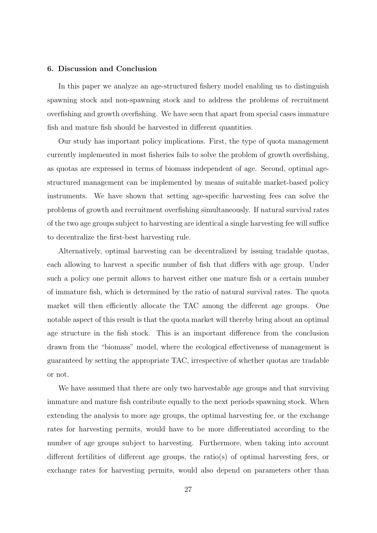# <span id="page-26-0"></span>6. Discussion and Conclusion

In this paper we analyze an age-structured fishery model enabling us to distinguish spawning stock and non-spawning stock and to address the problems of recruitment overfishing and growth overfishing. We have seen that apart from special cases immature fish and mature fish should be harvested in different quantities.

Our study has important policy implications. First, the type of quota management currently implemented in most fisheries fails to solve the problem of growth overfishing, as quotas are expressed in terms of biomass independent of age. Second, optimal agestructured management can be implemented by means of suitable market-based policy instruments. We have shown that setting age-specific harvesting fees can solve the problems of growth and recruitment overfishing simultaneously. If natural survival rates of the two age groups subject to harvesting are identical a single harvesting fee will suffice to decentralize the first-best harvesting rule.

Alternatively, optimal harvesting can be decentralized by issuing tradable quotas, each allowing to harvest a specific number of fish that differs with age group. Under such a policy one permit allows to harvest either one mature fish or a certain number of immature fish, which is determined by the ratio of natural survival rates. The quota market will then efficiently allocate the TAC among the different age groups. One notable aspect of this result is that the quota market will thereby bring about an optimal age structure in the fish stock. This is an important difference from the conclusion drawn from the "biomass" model, where the ecological effectiveness of management is guaranteed by setting the appropriate TAC, irrespective of whether quotas are tradable or not.

We have assumed that there are only two harvestable age groups and that surviving immature and mature fish contribute equally to the next periods spawning stock. When extending the analysis to more age groups, the optimal harvesting fee, or the exchange rates for harvesting permits, would have to be more differentiated according to the number of age groups subject to harvesting. Furthermore, when taking into account different fertilities of different age groups, the ratio(s) of optimal harvesting fees, or exchange rates for harvesting permits, would also depend on parameters other than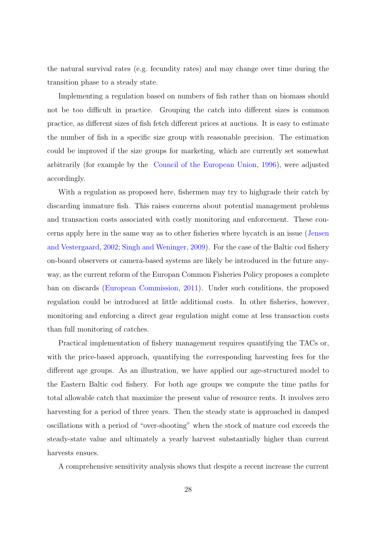the natural survival rates (e.g. fecundity rates) and may change over time during the transition phase to a steady state.

Implementing a regulation based on numbers of fish rather than on biomass should not be too difficult in practice. Grouping the catch into different sizes is common practice, as different sizes of fish fetch different prices at auctions. It is easy to estimate the number of fish in a specific size group with reasonable precision. The estimation could be improved if the size groups for marketing, which are currently set somewhat arbitrarily (for example by the [Council of the European Union,](#page-36-9) [1996\)](#page-36-9), were adjusted accordingly.

With a regulation as proposed here, fishermen may try to highgrade their catch by discarding immature fish. This raises concerns about potential management problems and transaction costs associated with costly monitoring and enforcement. These concerns apply here in the same way as to other fisheries where bycatch is an issue [\(Jensen](#page-38-8) [and Vestergaard,](#page-38-8) [2002;](#page-38-8) [Singh and Weninger,](#page-39-8) [2009\)](#page-39-8). For the case of the Baltic cod fishery on-board observers or camera-based systems are likely be introduced in the future anyway, as the current reform of the Europan Common Fisheries Policy proposes a complete ban on discards [\(European Commission,](#page-37-9) [2011\)](#page-37-9). Under such conditions, the proposed regulation could be introduced at little additional costs. In other fisheries, however, monitoring and enforcing a direct gear regulation might come at less transaction costs than full monitoring of catches.

Practical implementation of fishery management requires quantifying the TACs or, with the price-based approach, quantifying the corresponding harvesting fees for the different age groups. As an illustration, we have applied our age-structured model to the Eastern Baltic cod fishery. For both age groups we compute the time paths for total allowable catch that maximize the present value of resource rents. It involves zero harvesting for a period of three years. Then the steady state is approached in damped oscillations with a period of "over-shooting" when the stock of mature cod exceeds the steady-state value and ultimately a yearly harvest substantially higher than current harvests ensues.

A comprehensive sensitivity analysis shows that despite a recent increase the current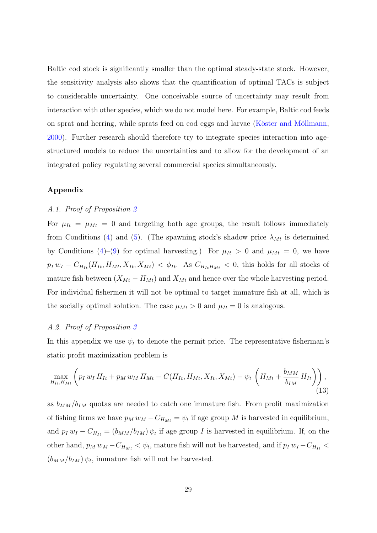Baltic cod stock is significantly smaller than the optimal steady-state stock. However, the sensitivity analysis also shows that the quantification of optimal TACs is subject to considerable uncertainty. One conceivable source of uncertainty may result from interaction with other species, which we do not model here. For example, Baltic cod feeds on sprat and herring, while sprats feed on cod eggs and larvae (Köster and Möllmann, [2000\)](#page-38-9). Further research should therefore try to integrate species interaction into agestructured models to reduce the uncertainties and to allow for the development of an integrated policy regulating several commercial species simultaneously.

# Appendix

# <span id="page-28-0"></span>A.1. Proof of Proposition [2](#page-10-0)

For  $\mu_{It} = \mu_{Mt} = 0$  and targeting both age groups, the result follows immediately from Conditions [\(4\)](#page-7-0) and [\(5\)](#page-7-1). (The spawning stock's shadow price  $\lambda_{Mt}$  is determined by Conditions [\(4\)](#page-7-0)–[\(9\)](#page-7-3) for optimal harvesting.) For  $\mu_{It} > 0$  and  $\mu_{Mt} = 0$ , we have  $p_I w_I - C_{H_{It}}(H_{It}, H_{Mt}, X_{It}, X_{Mt}) < \phi_{It}$ . As  $C_{H_{It}H_{Mt}} < 0$ , this holds for all stocks of mature fish between  $(X_{Mt} - H_{Mt})$  and  $X_{Mt}$  and hence over the whole harvesting period. For individual fishermen it will not be optimal to target immature fish at all, which is the socially optimal solution. The case  $\mu_{Mt} > 0$  and  $\mu_{It} = 0$  is analogous.

# <span id="page-28-1"></span>A.2. Proof of Proposition [3](#page-11-1)

In this appendix we use  $\psi_t$  to denote the permit price. The representative fisherman's static profit maximization problem is

$$
\max_{H_{It}, H_{Mt}} \left( p_I w_I H_{It} + p_M w_M H_{Mt} - C(H_{It}, H_{Mt}, X_{It}, X_{Mt}) - \psi_t \left( H_{Mt} + \frac{b_{MM}}{b_{IM}} H_{It} \right) \right),\tag{13}
$$

as  $b_{MM}/b_{IM}$  quotas are needed to catch one immature fish. From profit maximization of fishing firms we have  $p_M w_M - C_{H_{Mt}} = \psi_t$  if age group M is harvested in equilibrium, and  $p_I w_I - C_{H_{It}} = (b_{MM}/b_{IM}) \psi_t$  if age group I is harvested in equilibrium. If, on the other hand,  $p_M w_M - C_{H_{Mt}} < \psi_t$ , mature fish will not be harvested, and if  $p_I w_I - C_{H_{It}} <$  $(b_{MM}/b_{IM}) \psi_t$ , immature fish will not be harvested.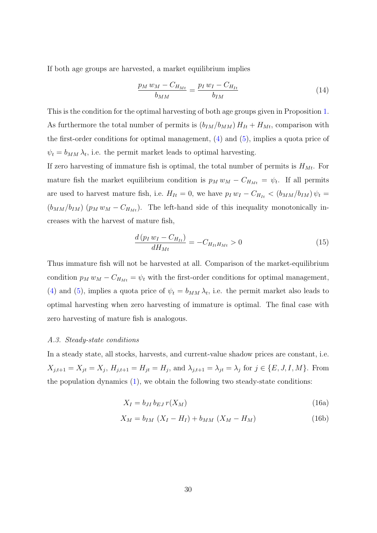If both age groups are harvested, a market equilibrium implies

$$
\frac{p_M w_M - C_{H_{Mt}}}{b_{MM}} = \frac{p_I w_I - C_{H_{It}}}{b_{IM}} \tag{14}
$$

This is the condition for the optimal harvesting of both age groups given in Proposition [1.](#page-8-2) As furthermore the total number of permits is  $(b_{IM}/b_{MM}) H_{It} + H_{Mt}$ , comparison with the first-order conditions for optimal management, [\(4\)](#page-7-0) and [\(5\)](#page-7-1), implies a quota price of  $\psi_t = b_{MM} \lambda_t$ , i.e. the permit market leads to optimal harvesting.

If zero harvesting of immature fish is optimal, the total number of permits is  $H_{Mt}$ . For mature fish the market equilibrium condition is  $p_M w_M - C_{H_{Mt}} = \psi_t$ . If all permits are used to harvest mature fish, i.e.  $H_{It} = 0$ , we have  $p_I w_I - C_{H_{It}} < (b_{MM}/b_{IM}) \psi_t =$  $(b_{MM}/b_{IM})$   $(p_M w_M - C_{H_{Mt}})$ . The left-hand side of this inequality monotonically increases with the harvest of mature fish,

$$
\frac{d\left(p_I w_I - C_{H_{It}}\right)}{dH_{Mt}} = -C_{H_{It}H_{Mt}} > 0\tag{15}
$$

Thus immature fish will not be harvested at all. Comparison of the market-equilibrium condition  $p_M w_M - C_{H_{Mt}} = \psi_t$  with the first-order conditions for optimal management, [\(4\)](#page-7-0) and [\(5\)](#page-7-1), implies a quota price of  $\psi_t = b_{MM} \lambda_t$ , i.e. the permit market also leads to optimal harvesting when zero harvesting of immature is optimal. The final case with zero harvesting of mature fish is analogous.

# <span id="page-29-0"></span>A.3. Steady-state conditions

In a steady state, all stocks, harvests, and current-value shadow prices are constant, i.e.  $X_{j,t+1} = X_{jt} = X_j$ ,  $H_{j,t+1} = H_{jt} = H_j$ , and  $\lambda_{j,t+1} = \lambda_{jt} = \lambda_j$  for  $j \in \{E, J, I, M\}$ . From the population dynamics  $(1)$ , we obtain the following two steady-state conditions:

<span id="page-29-2"></span><span id="page-29-1"></span>
$$
X_I = b_{JI} b_{EJ} r(X_M) \tag{16a}
$$

$$
X_M = b_{IM} (X_I - H_I) + b_{MM} (X_M - H_M)
$$
\n(16b)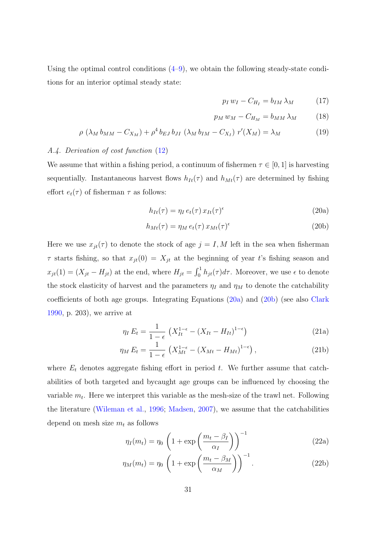Using the optimal control conditions  $(4-9)$  $(4-9)$ , we obtain the following steady-state conditions for an interior optimal steady state:

$$
p_I w_I - C_{H_I} = b_{IM} \lambda_M \tag{17}
$$

$$
p_M w_M - C_{H_M} = b_{MM} \lambda_M \tag{18}
$$

$$
\rho \left( \lambda_M b_{MM} - C_{X_M} \right) + \rho^4 b_{EJ} b_{JI} \left( \lambda_M b_{IM} - C_{X_I} \right) r'(X_M) = \lambda_M \tag{19}
$$

# <span id="page-30-0"></span>A.4. Derivation of cost function [\(12\)](#page-16-0)

We assume that within a fishing period, a continuum of fishermen  $\tau \in [0, 1]$  is harvesting sequentially. Instantaneous harvest flows  $h_{It}(\tau)$  and  $h_{Mt}(\tau)$  are determined by fishing effort  $e_t(\tau)$  of fisherman  $\tau$  as follows:

$$
h_{It}(\tau) = \eta_I \, e_t(\tau) \, x_{It}(\tau)^\epsilon \tag{20a}
$$

$$
h_{Mt}(\tau) = \eta_M e_t(\tau) x_{Mt}(\tau)^\epsilon \tag{20b}
$$

Here we use  $x_{jt}(\tau)$  to denote the stock of age  $j = I, M$  left in the sea when fisherman  $\tau$  starts fishing, so that  $x_{jt}(0) = X_{jt}$  at the beginning of year t's fishing season and  $x_{jt}(1) = (X_{jt} - H_{jt})$  at the end, where  $H_{jt} = \int_0^1 h_{jt}(\tau) d\tau$ . Moreover, we use  $\epsilon$  to denote the stock elasticity of harvest and the parameters  $\eta_I$  and  $\eta_M$  to denote the catchability coefficients of both age groups. Integrating Equations [\(20a\)](#page-29-1) and [\(20b\)](#page-29-2) (see also [Clark](#page-36-0) [1990,](#page-36-0) p. 203), we arrive at

$$
\eta_I E_t = \frac{1}{1 - \epsilon} \left( X_{It}^{1 - \epsilon} - (X_{It} - H_{It})^{1 - \epsilon} \right)
$$
(21a)

$$
\eta_M E_t = \frac{1}{1 - \epsilon} \left( X_{Mt}^{1 - \epsilon} - (X_{Mt} - H_{Mt})^{1 - \epsilon} \right), \tag{21b}
$$

where  $E_t$  denotes aggregate fishing effort in period t. We further assume that catchabilities of both targeted and bycaught age groups can be influenced by choosing the variable  $m_t$ . Here we interpret this variable as the mesh-size of the trawl net. Following the literature [\(Wileman et al.,](#page-40-2) [1996;](#page-40-2) [Madsen,](#page-38-3) [2007\)](#page-38-3), we assume that the catchabilities depend on mesh size  $m_t$  as follows

<span id="page-30-1"></span>
$$
\eta_I(m_t) = \eta_0 \left( 1 + \exp\left(\frac{m_t - \beta_I}{\alpha_I}\right) \right)^{-1} \tag{22a}
$$

$$
\eta_M(m_t) = \eta_0 \left( 1 + \exp\left(\frac{m_t - \beta_M}{\alpha_M}\right) \right)^{-1}.
$$
\n(22b)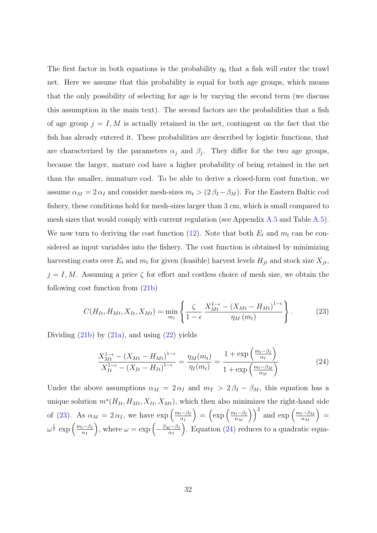The first factor in both equations is the probability  $\eta_0$  that a fish will enter the trawl net. Here we assume that this probability is equal for both age groups, which means that the only possibility of selecting for age is by varying the second term (we discuss this assumption in the main text). The second factors are the probabilities that a fish of age group  $j = I, M$  is actually retained in the net, contingent on the fact that the fish has already entered it. These probabilities are described by logistic functions, that are characterized by the parameters  $\alpha_j$  and  $\beta_j$ . They differ for the two age groups, because the larger, mature cod have a higher probability of being retained in the net than the smaller, immature cod. To be able to derive a closed-form cost function, we assume  $\alpha_M = 2 \alpha_I$  and consider mesh-sizes  $m_t > (2 \beta_I - \beta_M)$ . For the Eastern Baltic cod fishery, these conditions hold for mesh-sizes larger than 3 cm, which is small compared to mesh sizes that would comply with current regulation (see Appendix [A.5](#page-32-0) and Table [A.5\)](#page-32-0). We now turn to deriving the cost function [\(12\)](#page-16-0). Note that both  $E_t$  and  $m_t$  can be considered as input variables into the fishery. The cost function is obtained by minimizing harvesting costs over  $E_t$  and  $m_t$  for given (feasible) harvest levels  $H_{jt}$  and stock size  $X_{jt}$ ,  $j = I, M$ . Assuming a price  $\zeta$  for effort and costless choice of mesh size, we obtain the following cost function from [\(21b\)](#page-29-2)

$$
C(H_{It}, H_{Mt}, X_{It}, X_{Mt}) = \min_{m_t} \left\{ \frac{\zeta}{1 - \epsilon} \frac{X_{Mt}^{1 - \epsilon} - (X_{Mt} - H_{Mt})^{1 - \epsilon}}{\eta_M(m_t)} \right\}.
$$
 (23)

Dividing  $(21b)$  by  $(21a)$ , and using  $(22)$  yields

<span id="page-31-1"></span><span id="page-31-0"></span>
$$
\frac{X_{Mt}^{1-\epsilon} - (X_{Mt} - H_{Mt})^{1-\epsilon}}{X_{It}^{1-\epsilon} - (X_{It} - H_{It})^{1-\epsilon}} = \frac{\eta_M(m_t)}{\eta_I(m_t)} = \frac{1 + \exp\left(\frac{m_t - \beta_I}{\alpha_I}\right)}{1 + \exp\left(\frac{m_t - \beta_M}{\alpha_M}\right)}
$$
(24)

Under the above assumptions  $\alpha_M = 2 \alpha_I$  and  $m_T > 2 \beta_I - \beta_M$ , this equation has a unique solution  $m^*(H_{It}, H_{Mt}, X_{It}, X_{Mt})$ , which then also minimizes the right-hand side of [\(23\)](#page-31-0). As  $\alpha_M = 2 \alpha_I$ , we have  $\exp\left(\frac{m_t - \beta_I}{\alpha_I}\right)$  $\alpha_I$  $= \left( \exp \left( \frac{m_t - \beta_l}{\alpha} \right) \right)$  $\alpha_M$ )<sup>2</sup> and exp  $\left(\frac{m_t-\beta_M}{\alpha M}\right)$  $\alpha_M$  $=$  $\omega^{\frac{1}{2}}$  exp  $\left(\frac{m_t-\beta_I}{\alpha_I}\right)$  $\alpha_I$ ), where  $\omega = \exp \left(-\frac{\beta_M - \beta_I}{\gamma_I}\right)$  $\alpha_I$ ). Equation  $(24)$  reduces to a quadratic equa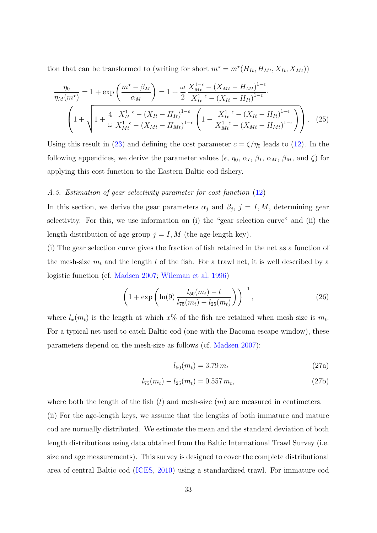tion that can be transformed to (writing for short  $m^* = m^*(H_{It}, H_{Mt}, X_{It}, X_{Mt})$ )

$$
\frac{\eta_0}{\eta_M(m^*)} = 1 + \exp\left(\frac{m^* - \beta_M}{\alpha_M}\right) = 1 + \frac{\omega}{2} \frac{X_{Mt}^{1-\epsilon} - (X_{Mt} - H_{Mt})^{1-\epsilon}}{X_{It}^{1-\epsilon} - (X_{It} - H_{It})^{1-\epsilon}}.
$$
\n
$$
\left(1 + \sqrt{1 + \frac{4}{\omega} \frac{X_{It}^{1-\epsilon} - (X_{It} - H_{It})^{1-\epsilon}}{X_{Mt}^{1-\epsilon} - (X_{Mt} - H_{Mt})^{1-\epsilon}} \left(1 - \frac{X_{It}^{1-\epsilon} - (X_{It} - H_{It})^{1-\epsilon}}{X_{Mt}^{1-\epsilon} - (X_{Mt} - H_{Mt})^{1-\epsilon}}\right)\right). \tag{25}
$$

Using this result in [\(23\)](#page-31-0) and defining the cost parameter  $c = \zeta/\eta_0$  leads to [\(12\)](#page-16-0). In the following appendices, we derive the parameter values ( $\epsilon$ ,  $\eta_0$ ,  $\alpha_I$ ,  $\beta_I$ ,  $\alpha_M$ ,  $\beta_M$ , and  $\zeta$ ) for applying this cost function to the Eastern Baltic cod fishery.

# <span id="page-32-0"></span>A.5. Estimation of gear selectivity parameter for cost function [\(12\)](#page-16-0)

In this section, we derive the gear parameters  $\alpha_j$  and  $\beta_j$ ,  $j = I, M$ , determining gear selectivity. For this, we use information on (i) the "gear selection curve" and (ii) the length distribution of age group  $j = I, M$  (the age-length key).

(i) The gear selection curve gives the fraction of fish retained in the net as a function of the mesh-size  $m_t$  and the length l of the fish. For a trawl net, it is well described by a logistic function (cf. [Madsen](#page-38-3) [2007;](#page-38-3) [Wileman et al.](#page-40-2) [1996\)](#page-40-2)

$$
\left(1 + \exp\left(\ln(9)\frac{l_{50}(m_t) - l}{l_{75}(m_t) - l_{25}(m_t)}\right)\right)^{-1},\tag{26}
$$

where  $l_x(m_t)$  is the length at which  $x\%$  of the fish are retained when mesh size is  $m_t$ . For a typical net used to catch Baltic cod (one with the Bacoma escape window), these parameters depend on the mesh-size as follows (cf. [Madsen](#page-38-3) [2007\)](#page-38-3):

$$
l_{50}(m_t) = 3.79 \, m_t \tag{27a}
$$

$$
l_{75}(m_t) - l_{25}(m_t) = 0.557 m_t,
$$
\n(27b)

where both the length of the fish  $(l)$  and mesh-size  $(m)$  are measured in centimeters.

(ii) For the age-length keys, we assume that the lengths of both immature and mature cod are normally distributed. We estimate the mean and the standard deviation of both length distributions using data obtained from the Baltic International Trawl Survey (i.e. size and age measurements). This survey is designed to cover the complete distributional area of central Baltic cod [\(ICES,](#page-38-5) [2010\)](#page-38-5) using a standardized trawl. For immature cod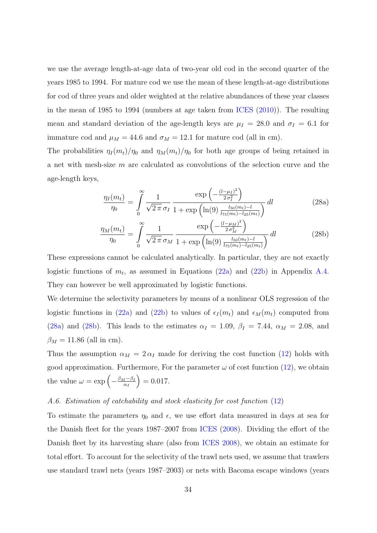we use the average length-at-age data of two-year old cod in the second quarter of the years 1985 to 1994. For mature cod we use the mean of these length-at-age distributions for cod of three years and older weighted at the relative abundances of these year classes in the mean of 1985 to 1994 (numbers at age taken from [ICES](#page-38-5) [\(2010\)](#page-38-5)). The resulting mean and standard deviation of the age-length keys are  $\mu_I = 28.0$  and  $\sigma_I = 6.1$  for immature cod and  $\mu_M = 44.6$  and  $\sigma_M = 12.1$  for mature cod (all in cm).

The probabilities  $\eta_I(m_t)/\eta_0$  and  $\eta_M(m_t)/\eta_0$  for both age groups of being retained in a net with mesh-size m are calculated as convolutions of the selection curve and the age-length keys,

$$
\frac{\eta_I(m_t)}{\eta_0} = \int_0^\infty \frac{1}{\sqrt{2\pi}\,\sigma_I} \frac{\exp\left(-\frac{(l-\mu_I)^2}{2\,\sigma_I^2}\right)}{1+\exp\left(\ln(9)\frac{l_{50}(m_t)-l}{l_{75}(m_t)-l_{25}(m_t)}\right)}\,dl\tag{28a}
$$

$$
\frac{\eta_M(m_t)}{\eta_0} = \int\limits_0^\infty \frac{1}{\sqrt{2\,\pi}\,\sigma_M} \frac{\exp\left(-\frac{(l-\mu_M)^2}{2\,\sigma_M^2}\right)}{1+\exp\left(\ln(9)\,\frac{l_{50}(m_t)-l}{l_{75}(m_t)-l_{25}(m_t)}\right)}\,dl\tag{28b}
$$

These expressions cannot be calculated analytically. In particular, they are not exactly logistic functions of  $m_t$ , as assumed in Equations [\(22a\)](#page-29-1) and [\(22b\)](#page-29-2) in Appendix [A.4.](#page-30-0) They can however be well approximated by logistic functions.

We determine the selectivity parameters by means of a nonlinear OLS regression of the logistic functions in [\(22a\)](#page-29-1) and [\(22b\)](#page-29-2) to values of  $\epsilon_I(m_t)$  and  $\epsilon_M(m_t)$  computed from [\(28a\)](#page-29-1) and [\(28b\)](#page-29-2). This leads to the estimates  $\alpha_I = 1.09$ ,  $\beta_I = 7.44$ ,  $\alpha_M = 2.08$ , and  $\beta_M = 11.86$  (all in cm).

Thus the assumption  $\alpha_M = 2 \alpha_I$  made for deriving the cost function [\(12\)](#page-16-0) holds with good approximation. Furthermore, For the parameter  $\omega$  of cost function [\(12\)](#page-16-0), we obtain the value  $\omega = \exp \left(-\frac{\beta_M - \beta_I}{\alpha_I}\right)$  $\alpha_I$  $= 0.017.$ 

# <span id="page-33-0"></span>A.6. Estimation of catchability and stock elasticity for cost function [\(12\)](#page-16-0)

To estimate the parameters  $\eta_0$  and  $\epsilon$ , we use effort data measured in days at sea for the Danish fleet for the years 1987–2007 from [ICES](#page-38-7) [\(2008\)](#page-38-7). Dividing the effort of the Danish fleet by its harvesting share (also from [ICES](#page-38-7) [2008\)](#page-38-7), we obtain an estimate for total effort. To account for the selectivity of the trawl nets used, we assume that trawlers use standard trawl nets (years 1987–2003) or nets with Bacoma escape windows (years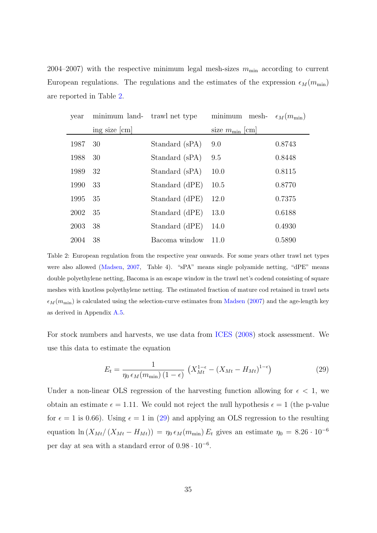2004–2007) with the respective minimum legal mesh-sizes  $m_{\text{min}}$  according to current European regulations. The regulations and the estimates of the expression  $\epsilon_M(m_{\min})$ are reported in Table [2.](#page-34-0)

| year | minimum land-trawl net type |                | minimum<br>mesh-     | $\epsilon_M(m_{\min})$ |
|------|-----------------------------|----------------|----------------------|------------------------|
|      | ing size [cm]               |                | size $m_{\min}$ [cm] |                        |
| 1987 | 30                          | Standard (sPA) | 9.0                  | 0.8743                 |
| 1988 | 30                          | Standard (sPA) | 9.5                  | 0.8448                 |
| 1989 | 32                          | Standard (sPA) | 10.0                 | 0.8115                 |
| 1990 | 33                          | Standard (dPE) | 10.5                 | 0.8770                 |
| 1995 | 35                          | Standard (dPE) | 12.0                 | 0.7375                 |
| 2002 | 35                          | Standard (dPE) | 13.0                 | 0.6188                 |
| 2003 | 38                          | Standard (dPE) | 14.0                 | 0.4930                 |
| 2004 | 38                          | Bacoma window  | 11.0                 | 0.5890                 |

<span id="page-34-0"></span>Table 2: European regulation from the respective year onwards. For some years other trawl net types were also allowed [\(Madsen,](#page-38-3) [2007,](#page-38-3) Table 4). "sPA" means single polyamide netting, "dPE" means double polyethylene netting, Bacoma is an escape window in the trawl net's codend consisting of square meshes with knotless polyethylene netting. The estimated fraction of mature cod retained in trawl nets  $\epsilon_M(m_{\text{min}})$  is calculated using the selection-curve estimates from [Madsen](#page-38-3) [\(2007\)](#page-38-3) and the age-length key as derived in Appendix [A.5.](#page-32-0)

For stock numbers and harvests, we use data from [ICES](#page-38-7) [\(2008\)](#page-38-7) stock assessment. We use this data to estimate the equation

<span id="page-34-1"></span>
$$
E_t = \frac{1}{\eta_0 \epsilon_M (m_{\min}) \left(1 - \epsilon\right)} \left(X_{Mt}^{1-\epsilon} - \left(X_{Mt} - H_{Mt}\right)^{1-\epsilon}\right) \tag{29}
$$

Under a non-linear OLS regression of the harvesting function allowing for  $\epsilon$  < 1, we obtain an estimate  $\epsilon = 1.11$ . We could not reject the null hypothesis  $\epsilon = 1$  (the p-value for  $\epsilon = 1$  is 0.66). Using  $\epsilon = 1$  in [\(29\)](#page-34-1) and applying an OLS regression to the resulting equation  $\ln (X_{Mt}/(X_{Mt} - H_{Mt})) = \eta_0 \epsilon_M(m_{min}) E_t$  gives an estimate  $\eta_0 = 8.26 \cdot 10^{-6}$ per day at sea with a standard error of  $0.98 \cdot 10^{-6}$ .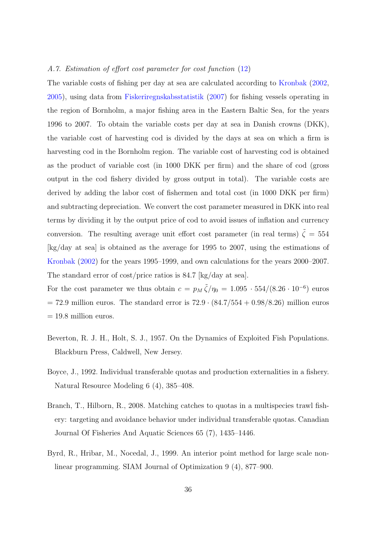# <span id="page-35-3"></span>A.7. Estimation of effort cost parameter for cost function [\(12\)](#page-16-0)

The variable costs of fishing per day at sea are calculated according to [Kronbak](#page-38-10) [\(2002,](#page-38-10) [2005\)](#page-38-1), using data from [Fiskeriregnskabsstatistik](#page-37-10) [\(2007\)](#page-37-10) for fishing vessels operating in the region of Bornholm, a major fishing area in the Eastern Baltic Sea, for the years 1996 to 2007. To obtain the variable costs per day at sea in Danish crowns (DKK), the variable cost of harvesting cod is divided by the days at sea on which a firm is harvesting cod in the Bornholm region. The variable cost of harvesting cod is obtained as the product of variable cost (in 1000 DKK per firm) and the share of cod (gross output in the cod fishery divided by gross output in total). The variable costs are derived by adding the labor cost of fishermen and total cost (in 1000 DKK per firm) and subtracting depreciation. We convert the cost parameter measured in DKK into real terms by dividing it by the output price of cod to avoid issues of inflation and currency conversion. The resulting average unit effort cost parameter (in real terms)  $\tilde{\zeta} = 554$ [kg/day at sea] is obtained as the average for 1995 to 2007, using the estimations of [Kronbak](#page-38-10) [\(2002\)](#page-38-10) for the years 1995–1999, and own calculations for the years 2000–2007. The standard error of cost/price ratios is 84.7 [kg/day at sea].

For the cost parameter we thus obtain  $c = p_M \tilde{\zeta}/\eta_0 = 1.095 \cdot 554/(8.26 \cdot 10^{-6})$  euros  $= 72.9$  million euros. The standard error is  $72.9 \cdot (84.7/554 + 0.98/8.26)$  million euros  $= 19.8$  million euros.

- <span id="page-35-2"></span>Beverton, R. J. H., Holt, S. J., 1957. On the Dynamics of Exploited Fish Populations. Blackburn Press, Caldwell, New Jersey.
- <span id="page-35-1"></span>Boyce, J., 1992. Individual transferable quotas and production externalities in a fishery. Natural Resource Modeling 6 (4), 385–408.
- <span id="page-35-0"></span>Branch, T., Hilborn, R., 2008. Matching catches to quotas in a multispecies trawl fishery: targeting and avoidance behavior under individual transferable quotas. Canadian Journal Of Fisheries And Aquatic Sciences 65 (7), 1435–1446.
- <span id="page-35-4"></span>Byrd, R., Hribar, M., Nocedal, J., 1999. An interior point method for large scale nonlinear programming. SIAM Journal of Optimization 9 (4), 877–900.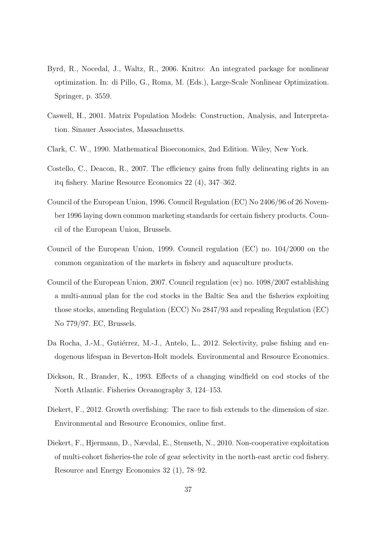- <span id="page-36-10"></span>Byrd, R., Nocedal, J., Waltz, R., 2006. Knitro: An integrated package for nonlinear optimization. In: di Pillo, G., Roma, M. (Eds.), Large-Scale Nonlinear Optimization. Springer, p. 3559.
- <span id="page-36-5"></span>Caswell, H., 2001. Matrix Population Models: Construction, Analysis, and Interpretation. Sinauer Associates, Massachusetts.
- <span id="page-36-0"></span>Clark, C. W., 1990. Mathematical Bioeconomics, 2nd Edition. Wiley, New York.
- <span id="page-36-1"></span>Costello, C., Deacon, R., 2007. The efficiency gains from fully delineating rights in an itq fishery. Marine Resource Economics 22 (4), 347–362.
- <span id="page-36-9"></span>Council of the European Union, 1996. Council Regulation (EC) No 2406/96 of 26 November 1996 laying down common marketing standards for certain fishery products. Council of the European Union, Brussels.
- <span id="page-36-8"></span>Council of the European Union, 1999. Council regulation (EC) no. 104/2000 on the common organization of the markets in fishery and aquaculture products.
- <span id="page-36-7"></span>Council of the European Union, 2007. Council regulation (ec) no. 1098/2007 establishing a multi-annual plan for the cod stocks in the Baltic Sea and the fisheries exploiting those stocks, amending Regulation (ECC) No 2847/93 and repealing Regulation (EC) No 779/97. EC, Brussels.
- <span id="page-36-4"></span>Da Rocha, J.-M., Gutiérrez, M.-J., Antelo, L., 2012. Selectivity, pulse fishing and endogenous lifespan in Beverton-Holt models. Environmental and Resource Economics.
- <span id="page-36-6"></span>Dickson, R., Brander, K., 1993. Effects of a changing windfield on cod stocks of the North Atlantic. Fisheries Oceanography 3, 124–153.
- <span id="page-36-2"></span>Diekert, F., 2012. Growth overfishing: The race to fish extends to the dimension of size. Environmental and Resource Economics, online first.
- <span id="page-36-3"></span>Diekert, F., Hjermann, D., Nævdal, E., Stenseth, N., 2010. Non-cooperative exploitation of multi-cohort fisheries-the role of gear selectivity in the north-east arctic cod fishery. Resource and Energy Economics 32 (1), 78–92.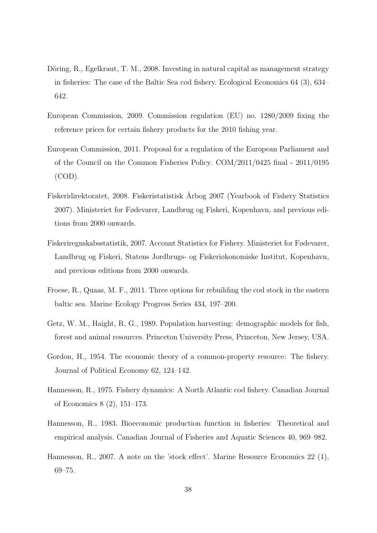- <span id="page-37-1"></span>Döring, R., Egelkraut, T. M., 2008. Investing in natural capital as management strategy in fisheries: The case of the Baltic Sea cod fishery. Ecological Economics 64 (3), 634– 642.
- <span id="page-37-5"></span>European Commission, 2009. Commission regulation (EU) no. 1280/2009 fixing the reference prices for certain fishery products for the 2010 fishing year.
- <span id="page-37-9"></span>European Commission, 2011. Proposal for a regulation of the European Parliament and of the Council on the Common Fisheries Policy. COM/2011/0425 final - 2011/0195 (COD).
- <span id="page-37-6"></span>Fiskeridirektoratet, 2008. Fiskeristatistisk Årbog 2007 (Yearbook of Fishery Statistics 2007). Ministeriet for Fødevarer, Landbrug og Fiskeri, Kopenhavn, and previous editions from 2000 onwards.
- <span id="page-37-10"></span>Fiskeriregnskabsstatistik, 2007. Account Statistics for Fishery. Ministeriet for Fødevarer, Landbrug og Fiskeri, Statens Jordbrugs- og Fiskeriøkonomiske Institut, Kopenhavn, and previous editions from 2000 onwards.
- <span id="page-37-2"></span>Froese, R., Quaas, M. F., 2011. Three options for rebuilding the cod stock in the eastern baltic sea. Marine Ecology Progress Series 434, 197–200.
- <span id="page-37-4"></span>Getz, W. M., Haight, R. G., 1989. Population harvesting: demographic models for fish, forest and animal resources. Princeton University Press, Princeton, New Jersey, USA.
- <span id="page-37-0"></span>Gordon, H., 1954. The economic theory of a common-property resource: The fishery. Journal of Political Economy 62, 124–142.
- <span id="page-37-3"></span>Hannesson, R., 1975. Fishery dynamics: A North Atlantic cod fishery. Canadian Journal of Economics 8 (2), 151–173.
- <span id="page-37-7"></span>Hannesson, R., 1983. Bioeconomic production function in fisheries: Theoretical and empirical analysis. Canadian Journal of Fisheries and Aquatic Sciences 40, 969–982.
- <span id="page-37-8"></span>Hannesson, R., 2007. A note on the 'stock effect'. Marine Resource Economics 22 (1), 69–75.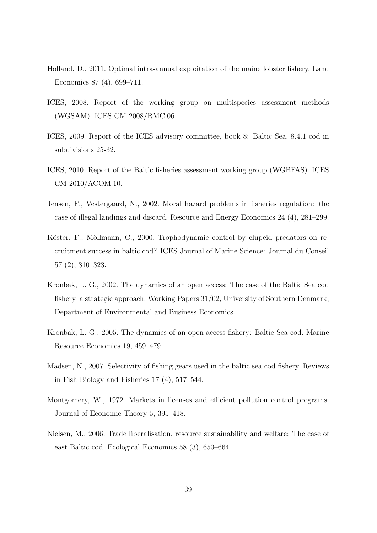- <span id="page-38-0"></span>Holland, D., 2011. Optimal intra-annual exploitation of the maine lobster fishery. Land Economics 87 (4), 699–711.
- <span id="page-38-7"></span>ICES, 2008. Report of the working group on multispecies assessment methods (WGSAM). ICES CM 2008/RMC:06.
- <span id="page-38-6"></span>ICES, 2009. Report of the ICES advisory committee, book 8: Baltic Sea. 8.4.1 cod in subdivisions 25-32.
- <span id="page-38-5"></span>ICES, 2010. Report of the Baltic fisheries assessment working group (WGBFAS). ICES CM 2010/ACOM:10.
- <span id="page-38-8"></span>Jensen, F., Vestergaard, N., 2002. Moral hazard problems in fisheries regulation: the case of illegal landings and discard. Resource and Energy Economics 24 (4), 281–299.
- <span id="page-38-9"></span>Köster, F., Möllmann, C., 2000. Trophodynamic control by clupeid predators on recruitment success in baltic cod? ICES Journal of Marine Science: Journal du Conseil 57 (2), 310–323.
- <span id="page-38-10"></span>Kronbak, L. G., 2002. The dynamics of an open access: The case of the Baltic Sea cod fishery–a strategic approach. Working Papers 31/02, University of Southern Denmark, Department of Environmental and Business Economics.
- <span id="page-38-1"></span>Kronbak, L. G., 2005. The dynamics of an open-access fishery: Baltic Sea cod. Marine Resource Economics 19, 459–479.
- <span id="page-38-3"></span>Madsen, N., 2007. Selectivity of fishing gears used in the baltic sea cod fishery. Reviews in Fish Biology and Fisheries 17 (4), 517–544.
- <span id="page-38-4"></span>Montgomery, W., 1972. Markets in licenses and efficient pollution control programs. Journal of Economic Theory 5, 395–418.
- <span id="page-38-2"></span>Nielsen, M., 2006. Trade liberalisation, resource sustainability and welfare: The case of east Baltic cod. Ecological Economics 58 (3), 650–664.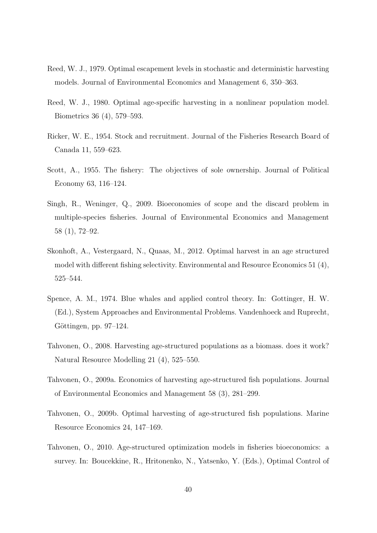- <span id="page-39-10"></span>Reed, W. J., 1979. Optimal escapement levels in stochastic and deterministic harvesting models. Journal of Environmental Economics and Management 6, 350–363.
- <span id="page-39-3"></span>Reed, W. J., 1980. Optimal age-specific harvesting in a nonlinear population model. Biometrics 36 (4), 579–593.
- <span id="page-39-7"></span>Ricker, W. E., 1954. Stock and recruitment. Journal of the Fisheries Research Board of Canada 11, 559–623.
- <span id="page-39-0"></span>Scott, A., 1955. The fishery: The objectives of sole ownership. Journal of Political Economy 63, 116–124.
- <span id="page-39-8"></span>Singh, R., Weninger, Q., 2009. Bioeconomies of scope and the discard problem in multiple-species fisheries. Journal of Environmental Economics and Management 58 (1), 72–92.
- <span id="page-39-6"></span>Skonhoft, A., Vestergaard, N., Quaas, M., 2012. Optimal harvest in an age structured model with different fishing selectivity. Environmental and Resource Economics 51 (4), 525–544.
- <span id="page-39-9"></span>Spence, A. M., 1974. Blue whales and applied control theory. In: Gottinger, H. W. (Ed.), System Approaches and Environmental Problems. Vandenhoeck and Ruprecht, Göttingen, pp.  $97-124$ .
- <span id="page-39-4"></span>Tahvonen, O., 2008. Harvesting age-structured populations as a biomass. does it work? Natural Resource Modelling 21 (4), 525–550.
- <span id="page-39-1"></span>Tahvonen, O., 2009a. Economics of harvesting age-structured fish populations. Journal of Environmental Economics and Management 58 (3), 281–299.
- <span id="page-39-5"></span>Tahvonen, O., 2009b. Optimal harvesting of age-structured fish populations. Marine Resource Economics 24, 147–169.
- <span id="page-39-2"></span>Tahvonen, O., 2010. Age-structured optimization models in fisheries bioeconomics: a survey. In: Boucekkine, R., Hritonenko, N., Yatsenko, Y. (Eds.), Optimal Control of